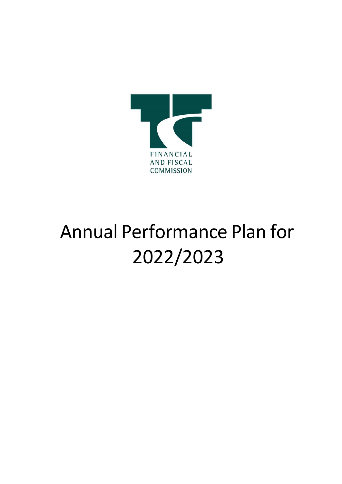

# Annual Performance Plan for 2022/2023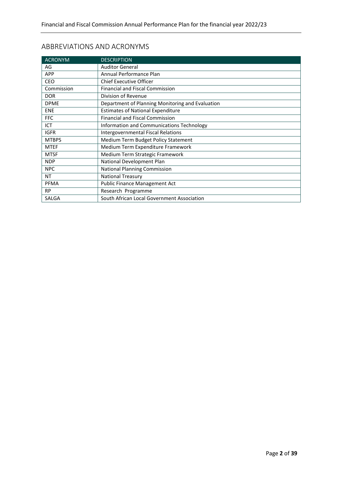## ABBREVIATIONS AND ACRONYMS

| <b>ACRONYM</b> | <b>DESCRIPTION</b>                               |
|----------------|--------------------------------------------------|
| AG             | <b>Auditor General</b>                           |
| <b>APP</b>     | <b>Annual Performance Plan</b>                   |
| <b>CEO</b>     | <b>Chief Executive Officer</b>                   |
| Commission     | <b>Financial and Fiscal Commission</b>           |
| <b>DOR</b>     | Division of Revenue                              |
| <b>DPME</b>    | Department of Planning Monitoring and Evaluation |
| <b>ENE</b>     | <b>Estimates of National Expenditure</b>         |
| <b>FFC</b>     | <b>Financial and Fiscal Commission</b>           |
| ICT            | Information and Communications Technology        |
| <b>IGFR</b>    | <b>Intergovernmental Fiscal Relations</b>        |
| <b>MTBPS</b>   | Medium Term Budget Policy Statement              |
| <b>MTEF</b>    | Medium Term Expenditure Framework                |
| <b>MTSF</b>    | Medium Term Strategic Framework                  |
| <b>NDP</b>     | National Development Plan                        |
| <b>NPC</b>     | <b>National Planning Commission</b>              |
| NT             | <b>National Treasury</b>                         |
| PFMA           | <b>Public Finance Management Act</b>             |
| <b>RP</b>      | Research Programme                               |
| SALGA          | South African Local Government Association       |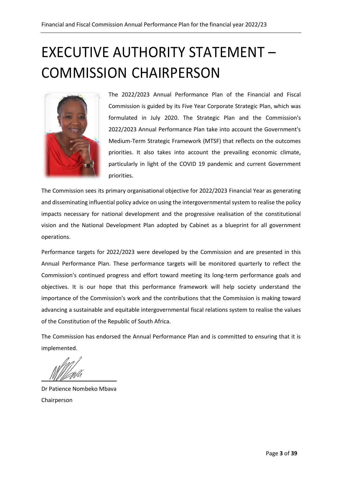## EXECUTIVE AUTHORITY STATEMENT – COMMISSION CHAIRPERSON



The 2022/2023 Annual Performance Plan of the Financial and Fiscal Commission is guided by its Five Year Corporate Strategic Plan, which was formulated in July 2020. The Strategic Plan and the Commission's 2022/2023 Annual Performance Plan take into account the Government's Medium-Term Strategic Framework (MTSF) that reflects on the outcomes priorities. It also takes into account the prevailing economic climate, particularly in light of the COVID 19 pandemic and current Government priorities.

The Commission sees its primary organisational objective for 2022/2023 Financial Year as generating and disseminating influential policy advice on using the intergovernmental system to realise the policy impacts necessary for national development and the progressive realisation of the constitutional vision and the National Development Plan adopted by Cabinet as a blueprint for all government operations.

Performance targets for 2022/2023 were developed by the Commission and are presented in this Annual Performance Plan. These performance targets will be monitored quarterly to reflect the Commission's continued progress and effort toward meeting its long-term performance goals and objectives. It is our hope that this performance framework will help society understand the importance of the Commission's work and the contributions that the Commission is making toward advancing a sustainable and equitable intergovernmental fiscal relations system to realise the values of the Constitution of the Republic of South Africa.

The Commission has endorsed the Annual Performance Plan and is committed to ensuring that it is implemented.

Dr Patience Nombeko Mbava Chairperson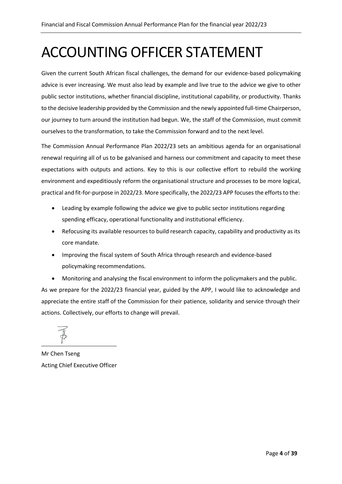## ACCOUNTING OFFICER STATEMENT

Given the current South African fiscal challenges, the demand for our evidence-based policymaking advice is ever increasing. We must also lead by example and live true to the advice we give to other public sector institutions, whether financial discipline, institutional capability, or productivity. Thanks to the decisive leadership provided by the Commission and the newly appointed full-time Chairperson, our journey to turn around the institution had begun. We, the staff of the Commission, must commit ourselves to the transformation, to take the Commission forward and to the next level.

The Commission Annual Performance Plan 2022/23 sets an ambitious agenda for an organisational renewal requiring all of us to be galvanised and harness our commitment and capacity to meet these expectations with outputs and actions. Key to this is our collective effort to rebuild the working environment and expeditiously reform the organisational structure and processes to be more logical, practical and fit-for-purpose in 2022/23. More specifically, the 2022/23 APP focuses the efforts to the:

- Leading by example following the advice we give to public sector institutions regarding spending efficacy, operational functionality and institutional efficiency.
- Refocusing its available resources to build research capacity, capability and productivity as its core mandate.
- Improving the fiscal system of South Africa through research and evidence-based policymaking recommendations.

• Monitoring and analysing the fiscal environment to inform the policymakers and the public.

As we prepare for the 2022/23 financial year, guided by the APP, I would like to acknowledge and appreciate the entire staff of the Commission for their patience, solidarity and service through their actions. Collectively, our efforts to change will prevail.

Mr Chen Tseng Acting Chief Executive Officer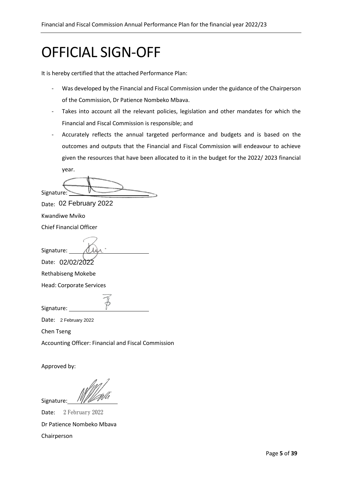## OFFICIAL SIGN-OFF

It is hereby certified that the attached Performance Plan:

- Was developed by the Financial and Fiscal Commission under the guidance of the Chairperson of the Commission, Dr Patience Nombeko Mbava.
- Takes into account all the relevant policies, legislation and other mandates for which the Financial and Fiscal Commission is responsible; and
- Accurately reflects the annual targeted performance and budgets and is based on the outcomes and outputs that the Financial and Fiscal Commission will endeavour to achieve given the resources that have been allocated to it in the budget for the 2022/ 2023 financial year.

Signature:

Date: 02 February 2022 Kwandiwe Mviko Chief Financial Officer

Signature: Date: 02/02/2022

Rethabiseng Mokebe Head: Corporate Services

Signature:

Date: 2 February 2022

Chen Tseng

Accounting Officer: Financial and Fiscal Commission

Approved by:

Signature:

Date: 2 February 2022 Dr Patience Nombeko Mbava Chairperson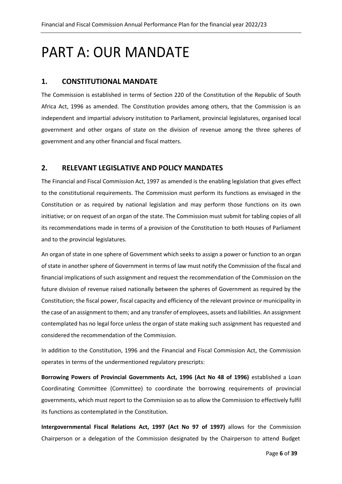## PART A: OUR MANDATE

## **1. CONSTITUTIONAL MANDATE**

The Commission is established in terms of Section 220 of the Constitution of the Republic of South Africa Act, 1996 as amended. The Constitution provides among others, that the Commission is an independent and impartial advisory institution to Parliament, provincial legislatures, organised local government and other organs of state on the division of revenue among the three spheres of government and any other financial and fiscal matters.

## **2. RELEVANT LEGISLATIVE AND POLICY MANDATES**

The Financial and Fiscal Commission Act, 1997 as amended is the enabling legislation that gives effect to the constitutional requirements. The Commission must perform its functions as envisaged in the Constitution or as required by national legislation and may perform those functions on its own initiative; or on request of an organ of the state. The Commission must submit for tabling copies of all its recommendations made in terms of a provision of the Constitution to both Houses of Parliament and to the provincial legislatures.

An organ of state in one sphere of Government which seeks to assign a power or function to an organ of state in another sphere of Government in terms of law must notify the Commission of the fiscal and financial implications of such assignment and request the recommendation of the Commission on the future division of revenue raised nationally between the spheres of Government as required by the Constitution; the fiscal power, fiscal capacity and efficiency of the relevant province or municipality in the case of an assignment to them; and any transfer of employees, assets and liabilities. An assignment contemplated has no legal force unless the organ of state making such assignment has requested and considered the recommendation of the Commission.

In addition to the Constitution, 1996 and the Financial and Fiscal Commission Act, the Commission operates in terms of the undermentioned regulatory prescripts:

**Borrowing Powers of Provincial Governments Act, 1996 (Act No 48 of 1996)** established a Loan Coordinating Committee (Committee) to coordinate the borrowing requirements of provincial governments, which must report to the Commission so as to allow the Commission to effectively fulfil its functions as contemplated in the Constitution.

**Intergovernmental Fiscal Relations Act, 1997 (Act No 97 of 1997)** allows for the Commission Chairperson or a delegation of the Commission designated by the Chairperson to attend Budget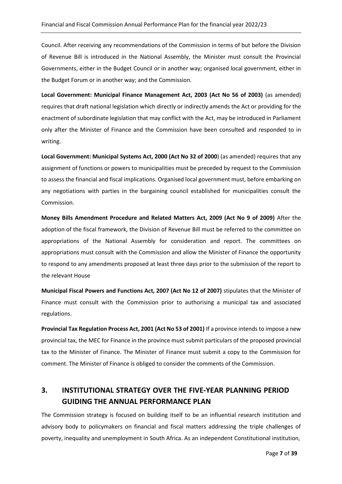Council. After receiving any recommendations of the Commission in terms of but before the Division of Revenue Bill is introduced in the National Assembly, the Minister must consult the Provincial Governments, either in the Budget Council or in another way; organised local government, either in the Budget Forum or in another way; and the Commission.

**Local Government: Municipal Finance Management Act, 2003 (Act No 56 of 2003)** (as amended) requires that draft national legislation which directly or indirectly amends the Act or providing for the enactment of subordinate legislation that may conflict with the Act, may be introduced in Parliament only after the Minister of Finance and the Commission have been consulted and responded to in writing.

**Local Government: Municipal Systems Act, 2000 (Act No 32 of 2000**) (as amended) requires that any assignment of functions or powers to municipalities must be preceded by request to the Commission to assess the financial and fiscal implications. Organised local government must, before embarking on any negotiations with parties in the bargaining council established for municipalities consult the Commission.

**Money Bills Amendment Procedure and Related Matters Act, 2009 (Act No 9 of 2009)** After the adoption of the fiscal framework, the Division of Revenue Bill must be referred to the committee on appropriations of the National Assembly for consideration and report. The committees on appropriations must consult with the Commission and allow the Minister of Finance the opportunity to respond to any amendments proposed at least three days prior to the submission of the report to the relevant House

**Municipal Fiscal Powers and Functions Act, 2007 (Act No 12 of 2007)** stipulates that the Minister of Finance must consult with the Commission prior to authorising a municipal tax and associated regulations.

**Provincial Tax Regulation Process Act, 2001 (Act No 53 of 2001)** If a province intends to impose a new provincial tax, the MEC for Finance in the province must submit particulars of the proposed provincial tax to the Minister of Finance. The Minister of Finance must submit a copy to the Commission for comment. The Minister of Finance is obliged to consider the comments of the Commission.

## **3. INSTITUTIONAL STRATEGY OVER THE FIVE-YEAR PLANNING PERIOD GUIDING THE ANNUAL PERFORMANCE PLAN**

The Commission strategy is focused on building itself to be an influential research institution and advisory body to policymakers on financial and fiscal matters addressing the triple challenges of poverty, inequality and unemployment in South Africa. As an independent Constitutional institution,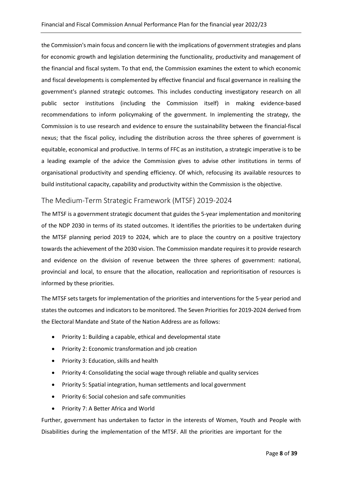the Commission's main focus and concern lie with the implications of government strategies and plans for economic growth and legislation determining the functionality, productivity and management of the financial and fiscal system. To that end, the Commission examines the extent to which economic and fiscal developments is complemented by effective financial and fiscal governance in realising the government's planned strategic outcomes. This includes conducting investigatory research on all public sector institutions (including the Commission itself) in making evidence-based recommendations to inform policymaking of the government. In implementing the strategy, the Commission is to use research and evidence to ensure the sustainability between the financial-fiscal nexus; that the fiscal policy, including the distribution across the three spheres of government is equitable, economical and productive. In terms of FFC as an institution, a strategic imperative is to be a leading example of the advice the Commission gives to advise other institutions in terms of organisational productivity and spending efficiency. Of which, refocusing its available resources to build institutional capacity, capability and productivity within the Commission is the objective.

### The Medium-Term Strategic Framework (MTSF) 2019-2024

The MTSF is a government strategic document that guides the 5-year implementation and monitoring of the NDP 2030 in terms of its stated outcomes. It identifies the priorities to be undertaken during the MTSF planning period 2019 to 2024, which are to place the country on a positive trajectory towards the achievement of the 2030 vision. The Commission mandate requires it to provide research and evidence on the division of revenue between the three spheres of government: national, provincial and local, to ensure that the allocation, reallocation and reprioritisation of resources is informed by these priorities.

The MTSF sets targets for implementation of the priorities and interventions for the 5-year period and states the outcomes and indicators to be monitored. The Seven Priorities for 2019-2024 derived from the Electoral Mandate and State of the Nation Address are as follows:

- Priority 1: Building a capable, ethical and developmental state
- Priority 2: Economic transformation and job creation
- Priority 3: Education, skills and health
- Priority 4: Consolidating the social wage through reliable and quality services
- Priority 5: Spatial integration, human settlements and local government
- Priority 6: Social cohesion and safe communities
- Priority 7: A Better Africa and World

Further, government has undertaken to factor in the interests of Women, Youth and People with Disabilities during the implementation of the MTSF. All the priorities are important for the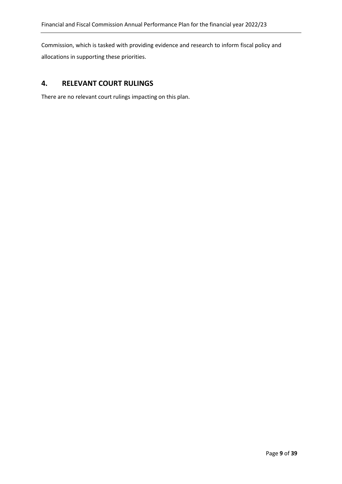Commission, which is tasked with providing evidence and research to inform fiscal policy and allocations in supporting these priorities.

## **4. RELEVANT COURT RULINGS**

There are no relevant court rulings impacting on this plan.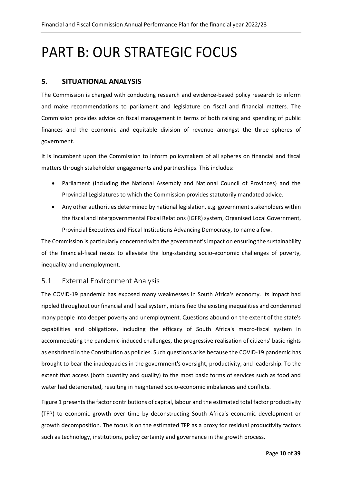## PART B: OUR STRATEGIC FOCUS

## **5. SITUATIONAL ANALYSIS**

The Commission is charged with conducting research and evidence-based policy research to inform and make recommendations to parliament and legislature on fiscal and financial matters. The Commission provides advice on fiscal management in terms of both raising and spending of public finances and the economic and equitable division of revenue amongst the three spheres of government.

It is incumbent upon the Commission to inform policymakers of all spheres on financial and fiscal matters through stakeholder engagements and partnerships. This includes:

- Parliament (including the National Assembly and National Council of Provinces) and the Provincial Legislatures to which the Commission provides statutorily mandated advice.
- Any other authorities determined by national legislation, e.g. government stakeholders within the fiscal and Intergovernmental Fiscal Relations (IGFR) system, Organised Local Government, Provincial Executives and Fiscal Institutions Advancing Democracy, to name a few.

The Commission is particularly concerned with the government'simpact on ensuring the sustainability of the financial-fiscal nexus to alleviate the long-standing socio-economic challenges of poverty, inequality and unemployment.

### 5.1 External Environment Analysis

The COVID-19 pandemic has exposed many weaknesses in South Africa's economy. Its impact had rippled throughout our financial and fiscal system, intensified the existing inequalities and condemned many people into deeper poverty and unemployment. Questions abound on the extent of the state's capabilities and obligations, including the efficacy of South Africa's macro-fiscal system in accommodating the pandemic-induced challenges, the progressive realisation of citizens' basic rights as enshrined in the Constitution as policies. Such questions arise because the COVID-19 pandemic has brought to bear the inadequacies in the government's oversight, productivity, and leadership. To the extent that access (both quantity and quality) to the most basic forms of services such as food and water had deteriorated, resulting in heightened socio-economic imbalances and conflicts.

Figure 1 presents the factor contributions of capital, labour and the estimated total factor productivity (TFP) to economic growth over time by deconstructing South Africa's economic development or growth decomposition. The focus is on the estimated TFP as a proxy for residual productivity factors such as technology, institutions, policy certainty and governance in the growth process.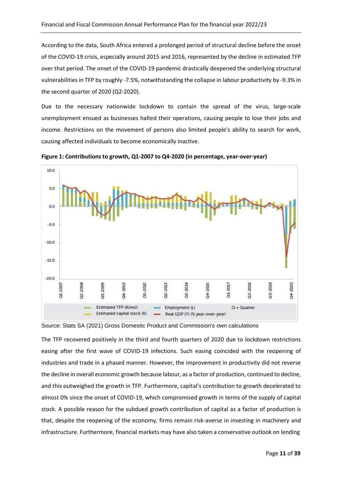According to the data, South Africa entered a prolonged period of structural decline before the onset of the COVID-19 crisis, especially around 2015 and 2016, represented by the decline in estimated TFP over that period. The onset of the COVID-19 pandemic drastically deepened the underlying structural vulnerabilities in TFP by roughly -7.5%, notwithstanding the collapse in labour productivity by -9.3% in the second quarter of 2020 (Q2-2020).

Due to the necessary nationwide lockdown to contain the spread of the virus, large-scale unemployment ensued as businesses halted their operations, causing people to lose their jobs and income. Restrictions on the movement of persons also limited people's ability to search for work, causing affected individuals to become economically inactive.



**Figure 1: Contributions to growth, Q1-2007 to Q4-2020 (in percentage, year-over-year)**

Source: Stats SA (2021) Gross Domestic Product and Commission's own calculations

The TFP recovered positively in the third and fourth quarters of 2020 due to lockdown restrictions easing after the first wave of COVID-19 infections. Such easing coincided with the reopening of industries and trade in a phased manner. However, the improvement in productivity did not reverse the decline in overall economic growth because labour, as a factor of production, continued to decline, and this outweighed the growth in TFP. Furthermore, capital's contribution to growth decelerated to almost 0% since the onset of COVID-19, which compromised growth in terms of the supply of capital stock. A possible reason for the subdued growth contribution of capital as a factor of production is that, despite the reopening of the economy, firms remain risk-averse in investing in machinery and infrastructure. Furthermore, financial markets may have also taken a conservative outlook on lending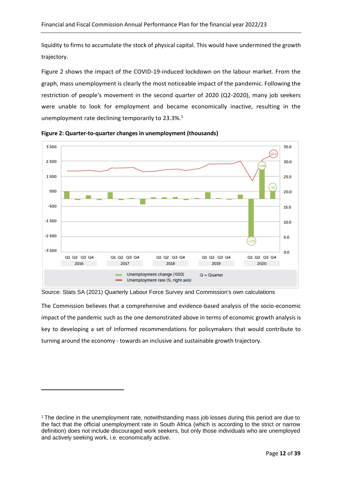liquidity to firms to accumulate the stock of physical capital. This would have undermined the growth trajectory.

Figure 2 shows the impact of the COVID-19-induced lockdown on the labour market. From the graph, mass unemployment is clearly the most noticeable impact of the pandemic. Following the restriction of people's movement in the second quarter of 2020 (Q2-2020), many job seekers were unable to look for employment and became economically inactive, resulting in the unemployment rate declining temporarily to 23.3%.<sup>1</sup>



**Figure 2: Quarter-to-quarter changes in unemployment (thousands)**

Source: Stats SA (2021) Quarterly Labour Force Survey and Commission's own calculations

The Commission believes that a comprehensive and evidence-based analysis of the socio-economic impact of the pandemic such as the one demonstrated above in terms of economic growth analysis is key to developing a set of informed recommendations for policymakers that would contribute to turning around the economy - towards an inclusive and sustainable growth trajectory.

<sup>1</sup>The decline in the unemployment rate, notwithstanding mass job losses during this period are due to the fact that the official unemployment rate in South Africa (which is according to the strict or narrow definition) does not include discouraged work seekers, but only those individuals who are unemployed and actively seeking work, i.e. economically active.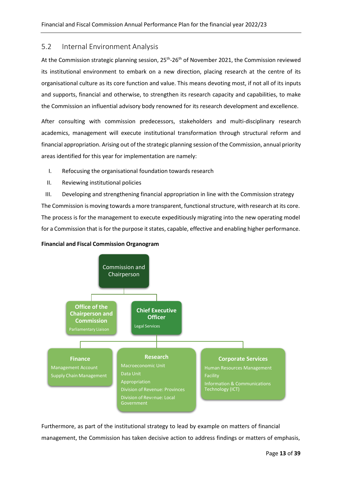## 5.2 Internal Environment Analysis

At the Commission strategic planning session, 25<sup>th</sup>-26<sup>th</sup> of November 2021, the Commission reviewed its institutional environment to embark on a new direction, placing research at the centre of its organisational culture as its core function and value. This means devoting most, if not all of its inputs and supports, financial and otherwise, to strengthen its research capacity and capabilities, to make the Commission an influential advisory body renowned for its research development and excellence.

After consulting with commission predecessors, stakeholders and multi-disciplinary research academics, management will execute institutional transformation through structural reform and financial appropriation. Arising out of the strategic planning session of the Commission, annual priority areas identified for this year for implementation are namely:

- I. Refocusing the organisational foundation towards research
- II. Reviewing institutional policies

III. Developing and strengthening financial appropriation in line with the Commission strategy The Commission is moving towards a more transparent, functional structure, with research at its core. The process is for the management to execute expeditiously migrating into the new operating model for a Commission that is for the purpose it states, capable, effective and enabling higher performance.





Furthermore, as part of the institutional strategy to lead by example on matters of financial management, the Commission has taken decisive action to address findings or matters of emphasis,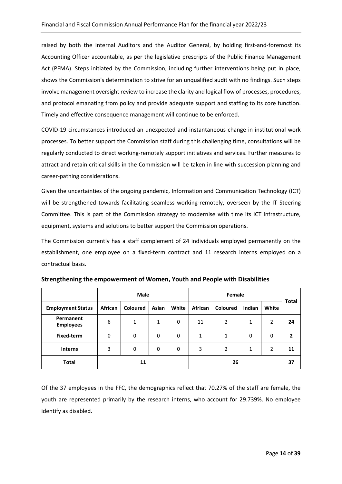raised by both the Internal Auditors and the Auditor General, by holding first-and-foremost its Accounting Officer accountable, as per the legislative prescripts of the Public Finance Management Act (PFMA). Steps initiated by the Commission, including further interventions being put in place, shows the Commission's determination to strive for an unqualified audit with no findings. Such steps involve management oversight review to increase the clarity and logical flow of processes, procedures, and protocol emanating from policy and provide adequate support and staffing to its core function. Timely and effective consequence management will continue to be enforced.

COVID-19 circumstances introduced an unexpected and instantaneous change in institutional work processes. To better support the Commission staff during this challenging time, consultations will be regularly conducted to direct working-remotely support initiatives and services. Further measures to attract and retain critical skills in the Commission will be taken in line with succession planning and career-pathing considerations.

Given the uncertainties of the ongoing pandemic, Information and Communication Technology (ICT) will be strengthened towards facilitating seamless working-remotely, overseen by the IT Steering Committee. This is part of the Commission strategy to modernise with time its ICT infrastructure, equipment, systems and solutions to better support the Commission operations.

The Commission currently has a staff complement of 24 individuals employed permanently on the establishment, one employee on a fixed-term contract and 11 research interns employed on a contractual basis.

|                               |          | Male         |              |       |              | Female          |        |       |              |  |
|-------------------------------|----------|--------------|--------------|-------|--------------|-----------------|--------|-------|--------------|--|
| <b>Employment Status</b>      | African  | Coloured     | Asian        | White | African      | <b>Coloured</b> | Indian | White | <b>Total</b> |  |
| Permanent<br><b>Employees</b> | 6        | $\mathbf{1}$ | $\mathbf{1}$ | 0     | 11           | 2               | 1      | 2     | 24           |  |
| <b>Fixed-term</b>             | 0        | 0            | 0            | 0     | $\mathbf{1}$ | 1               | 0      | 0     | 2            |  |
| <b>Interns</b>                | 3        | 0            | 0            | 0     | 3            | 2               | 1      | 2     | 11           |  |
| <b>Total</b>                  | 26<br>11 |              |              |       |              |                 | 37     |       |              |  |

**Strengthening the empowerment of Women, Youth and People with Disabilities**

Of the 37 employees in the FFC, the demographics reflect that 70.27% of the staff are female, the youth are represented primarily by the research interns, who account for 29.739%. No employee identify as disabled.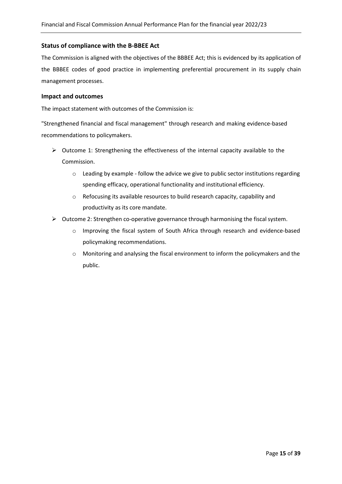#### **Status of compliance with the B-BBEE Act**

The Commission is aligned with the objectives of the BBBEE Act; this is evidenced by its application of the BBBEE codes of good practice in implementing preferential procurement in its supply chain management processes.

#### **Impact and outcomes**

The impact statement with outcomes of the Commission is:

"Strengthened financial and fiscal management" through research and making evidence-based recommendations to policymakers.

- $\triangleright$  Outcome 1: Strengthening the effectiveness of the internal capacity available to the Commission.
	- o Leading by example follow the advice we give to public sector institutions regarding spending efficacy, operational functionality and institutional efficiency.
	- o Refocusing its available resources to build research capacity, capability and productivity as its core mandate.
- $\triangleright$  Outcome 2: Strengthen co-operative governance through harmonising the fiscal system.
	- o Improving the fiscal system of South Africa through research and evidence-based policymaking recommendations.
	- o Monitoring and analysing the fiscal environment to inform the policymakers and the public.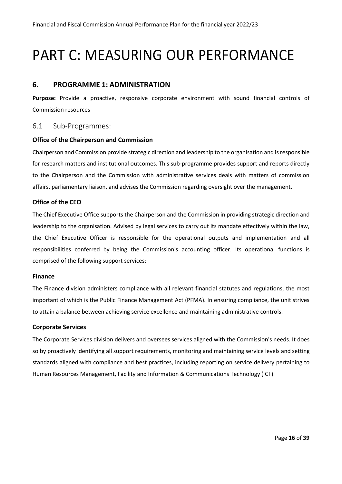## PART C: MEASURING OUR PERFORMANCE

## **6. PROGRAMME 1: ADMINISTRATION**

**Purpose:** Provide a proactive, responsive corporate environment with sound financial controls of Commission resources

### 6.1 Sub-Programmes:

### **Office of the Chairperson and Commission**

Chairperson and Commission provide strategic direction and leadership to the organisation and isresponsible for research matters and institutional outcomes. This sub-programme provides support and reports directly to the Chairperson and the Commission with administrative services deals with matters of commission affairs, parliamentary liaison, and advises the Commission regarding oversight over the management.

#### **Office of the CEO**

The Chief Executive Office supports the Chairperson and the Commission in providing strategic direction and leadership to the organisation. Advised by legal services to carry out its mandate effectively within the law, the Chief Executive Officer is responsible for the operational outputs and implementation and all responsibilities conferred by being the Commission's accounting officer. Its operational functions is comprised of the following support services:

#### **Finance**

The Finance division administers compliance with all relevant financial statutes and regulations, the most important of which is the Public Finance Management Act (PFMA). In ensuring compliance, the unit strives to attain a balance between achieving service excellence and maintaining administrative controls.

#### **Corporate Services**

The Corporate Services division delivers and oversees services aligned with the Commission's needs. It does so by proactively identifying all support requirements, monitoring and maintaining service levels and setting standards aligned with compliance and best practices, including reporting on service delivery pertaining to Human Resources Management, Facility and Information & Communications Technology (ICT).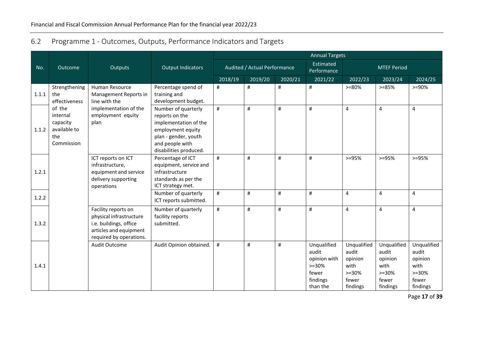|       |                                                                     |                                                                                                                               |                                                                                                                                                          |         |                              |          | <b>Annual Targets</b>                                                            |                                                                         |                                                                         |                                                                         |
|-------|---------------------------------------------------------------------|-------------------------------------------------------------------------------------------------------------------------------|----------------------------------------------------------------------------------------------------------------------------------------------------------|---------|------------------------------|----------|----------------------------------------------------------------------------------|-------------------------------------------------------------------------|-------------------------------------------------------------------------|-------------------------------------------------------------------------|
| No.   | Outcome                                                             | Outputs                                                                                                                       | <b>Output Indicators</b>                                                                                                                                 |         | Audited / Actual Performance |          | Estimated<br>Performance                                                         |                                                                         | <b>MTEF Period</b>                                                      |                                                                         |
|       |                                                                     |                                                                                                                               |                                                                                                                                                          | 2018/19 | 2019/20                      | 2020/21  | 2021/22                                                                          | 2022/23                                                                 | 2023/24                                                                 | 2024/25                                                                 |
| 1.1.1 | Strengthening<br>the<br>effectiveness                               | Human Resource<br>Management Reports in<br>line with the                                                                      | Percentage spend of<br>training and<br>development budget.                                                                                               | $\#$    | #                            | $\#$     | $\#$                                                                             | $>= 80%$                                                                | $>=85%$                                                                 | $>= 90%$                                                                |
| 1.1.2 | of the<br>internal<br>capacity<br>available to<br>the<br>Commission | implementation of the<br>employment equity<br>plan                                                                            | Number of quarterly<br>reports on the<br>implementation of the<br>employment equity<br>plan - gender, youth<br>and people with<br>disabilities produced. | $\#$    | #                            | $\sharp$ | $\#$                                                                             | $\overline{4}$                                                          | 4                                                                       | 4                                                                       |
| 1.2.1 |                                                                     | ICT reports on ICT<br>infrastructure,<br>equipment and service<br>delivery supporting<br>operations                           | Percentage of ICT<br>equipment, service and<br>infrastructure<br>standards as per the<br>ICT strategy met.                                               | $\#$    | $\#$                         | $\#$     | $\#$                                                                             | $>=95%$                                                                 | $>=95%$                                                                 | $>=95%$                                                                 |
| 1.2.2 |                                                                     |                                                                                                                               | Number of quarterly<br>ICT reports submitted.                                                                                                            | #       | #                            | #        | #                                                                                | 4                                                                       | 4                                                                       | 4                                                                       |
| 1.3.2 |                                                                     | Facility reports on<br>physical infrastructure<br>i.e. buildings, office<br>articles and equipment<br>required by operations. | Number of quarterly<br>facility reports<br>submitted.                                                                                                    | $\#$    | #                            | #        | #                                                                                | 4                                                                       | 4                                                                       | 4                                                                       |
| 1.4.1 |                                                                     | Audit Outcome                                                                                                                 | Audit Opinion obtained.                                                                                                                                  | $\#$    | $\#$                         | $\#$     | Unqualified<br>audit<br>opinion with<br>$>=30%$<br>fewer<br>findings<br>than the | Unqualified<br>audit<br>opinion<br>with<br>$>=30%$<br>fewer<br>findings | Unqualified<br>audit<br>opinion<br>with<br>$>=30%$<br>fewer<br>findings | Unqualified<br>audit<br>opinion<br>with<br>$>=30%$<br>fewer<br>findings |

## 6.2 Programme 1 - Outcomes, Outputs, Performance Indicators and Targets

Page **17** of **39**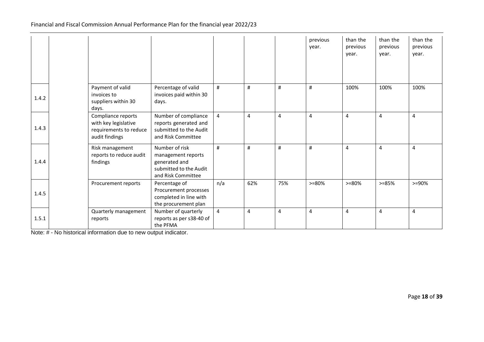|       |                                                                                        |                                                                                                       |     |     |                | previous<br>year. | than the<br>previous<br>year. | than the<br>previous<br>year. | than the<br>previous<br>year. |
|-------|----------------------------------------------------------------------------------------|-------------------------------------------------------------------------------------------------------|-----|-----|----------------|-------------------|-------------------------------|-------------------------------|-------------------------------|
| 1.4.2 | Payment of valid<br>invoices to<br>suppliers within 30<br>days.                        | Percentage of valid<br>invoices paid within 30<br>days.                                               | #   | #   | #              | #                 | 100%                          | 100%                          | 100%                          |
| 1.4.3 | Compliance reports<br>with key legislative<br>requirements to reduce<br>audit findings | Number of compliance<br>reports generated and<br>submitted to the Audit<br>and Risk Committee         | 4   | 4   | $\overline{4}$ | 4                 | $\overline{4}$                | 4                             | 4                             |
| 1.4.4 | Risk management<br>reports to reduce audit<br>findings                                 | Number of risk<br>management reports<br>generated and<br>submitted to the Audit<br>and Risk Committee | #   | #   | $\#$           | #                 | $\overline{4}$                | 4                             | 4                             |
| 1.4.5 | Procurement reports                                                                    | Percentage of<br>Procurement processes<br>completed in line with<br>the procurement plan              | n/a | 62% | 75%            | $> = 80\%$        | $>= 80%$                      | $>=85%$                       | $>= 90%$                      |
| 1.5.1 | Quarterly management<br>reports                                                        | Number of quarterly<br>reports as per s38-40 of<br>the PFMA                                           | 4   | 4   | 4              | 4                 | $\overline{4}$                | 4                             | 4                             |

Note: # - No historical information due to new output indicator.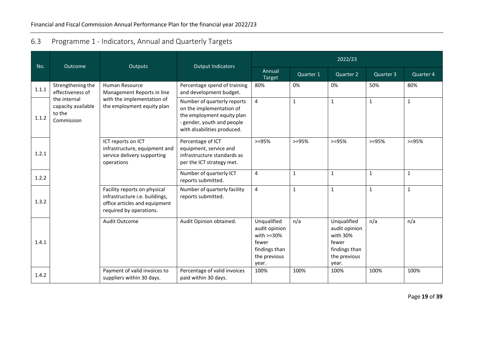## 6.3 Programme 1 - Indicators, Annual and Quarterly Targets

| No.   | Outcome                                                    | Outputs                                                                                                                    | <b>Output Indicators</b>                                                                                                                           |                                                                                                  |              | 2022/23                                                                                     |                      |              |
|-------|------------------------------------------------------------|----------------------------------------------------------------------------------------------------------------------------|----------------------------------------------------------------------------------------------------------------------------------------------------|--------------------------------------------------------------------------------------------------|--------------|---------------------------------------------------------------------------------------------|----------------------|--------------|
|       |                                                            |                                                                                                                            |                                                                                                                                                    | Annual<br><b>Target</b>                                                                          | Quarter 1    | Quarter 2                                                                                   | Quarter <sub>3</sub> | Quarter 4    |
| 1.1.1 | Strengthening the<br>effectiveness of                      | Human Resource<br>Management Reports in line                                                                               | Percentage spend of training<br>and development budget.                                                                                            | 80%                                                                                              | 0%           | 0%                                                                                          | 50%                  | 80%          |
| 1.1.2 | the internal<br>capacity available<br>to the<br>Commission | with the implementation of<br>the employment equity plan                                                                   | Number of quarterly reports<br>on the implementation of<br>the employment equity plan<br>- gender, youth and people<br>with disabilities produced. | $\overline{4}$                                                                                   | $\mathbf{1}$ | $\mathbf{1}$                                                                                | $\mathbf{1}$         | $\mathbf{1}$ |
| 1.2.1 |                                                            | ICT reports on ICT<br>infrastructure, equipment and<br>service delivery supporting<br>operations                           | Percentage of ICT<br>equipment, service and<br>infrastructure standards as<br>per the ICT strategy met.                                            | $>=95%$                                                                                          | $>=95%$      | $>=95%$                                                                                     | $>=95%$              | $>=95%$      |
| 1.2.2 |                                                            |                                                                                                                            | Number of quarterly ICT<br>reports submitted.                                                                                                      | $\overline{4}$                                                                                   | $\mathbf{1}$ | $\mathbf{1}$                                                                                | $\mathbf{1}$         | $\mathbf{1}$ |
| 1.3.2 |                                                            | Facility reports on physical<br>infrastructure i.e. buildings,<br>office articles and equipment<br>required by operations. | Number of quarterly facility<br>reports submitted.                                                                                                 | $\overline{4}$                                                                                   | $\mathbf{1}$ | $\mathbf{1}$                                                                                | $\mathbf{1}$         | $\mathbf{1}$ |
| 1.4.1 |                                                            | Audit Outcome                                                                                                              | Audit Opinion obtained.                                                                                                                            | Unqualified<br>audit opinion<br>with $>=$ 30%<br>fewer<br>findings than<br>the previous<br>year. | n/a          | Unqualified<br>audit opinion<br>with 30%<br>fewer<br>findings than<br>the previous<br>year. | n/a                  | n/a          |
| 1.4.2 |                                                            | Payment of valid invoices to<br>suppliers within 30 days.                                                                  | Percentage of valid invoices<br>paid within 30 days.                                                                                               | 100%                                                                                             | 100%         | 100%                                                                                        | 100%                 | 100%         |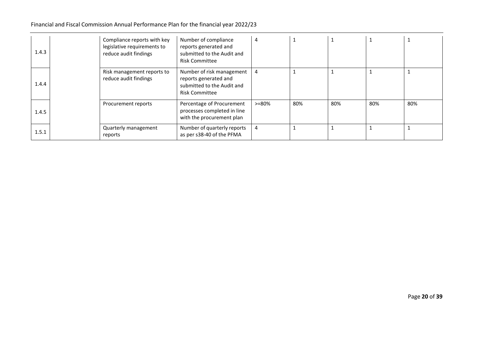Financial and Fiscal Commission Annual Performance Plan for the financial year 2022/23

| 1.4.3 | Compliance reports with key<br>legislative requirements to<br>reduce audit findings | Number of compliance<br>reports generated and<br>submitted to the Audit and<br><b>Risk Committee</b>      | 4        |     |     | $\mathbf{1}$ |     |
|-------|-------------------------------------------------------------------------------------|-----------------------------------------------------------------------------------------------------------|----------|-----|-----|--------------|-----|
| 1.4.4 | Risk management reports to<br>reduce audit findings                                 | Number of risk management<br>reports generated and<br>submitted to the Audit and<br><b>Risk Committee</b> | 4        |     |     |              |     |
| 1.4.5 | Procurement reports                                                                 | Percentage of Procurement<br>processes completed in line<br>with the procurement plan                     | $>= 80%$ | 80% | 80% | 80%          | 80% |
| 1.5.1 | Quarterly management<br>reports                                                     | Number of quarterly reports<br>as per s38-40 of the PFMA                                                  | 4        |     |     |              |     |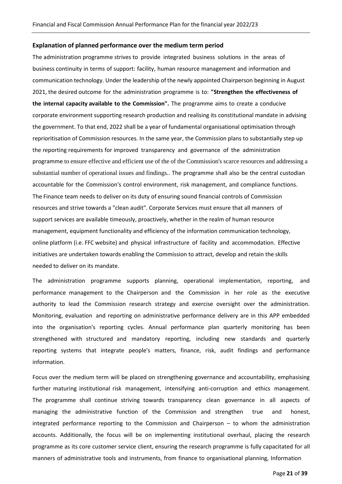#### **Explanation of planned performance over the medium term period**

The administration programme strives to provide integrated business solutions in the areas of business continuity in terms of support: facility, human resource management and information and communication technology. Under the leadership of the newly appointed Chairperson beginning in August 2021, the desired outcome for the administration programme is to: **"Strengthen the effectiveness of the internal capacity available to the Commission".** The programme aims to create a conducive corporate environment supporting research production and realising its constitutional mandate in advising the government. To that end, 2022 shall be a year of fundamental organisational optimisation through reprioritisation of Commission resources. In the same year, the Commission plans to substantially step up the reporting requirements for improved transparency and governance of the administration programme to ensure effective and efficient use of the of the Commission's scarce resources and addressing a substantial number of operational issues and findings.. The programme shall also be the central custodian accountable for the Commission's control environment, risk management, and compliance functions. The Finance team needs to deliver on its duty of ensuring sound financial controls of Commission resources and strive towards a "clean audit". Corporate Services must ensure that all manners of support services are available timeously, proactively, whether in the realm of human resource management, equipment functionality and efficiency of the information communication technology, online platform (i.e. FFC website) and physical infrastructure of facility and accommodation. Effective initiatives are undertaken towards enabling the Commission to attract, develop and retain the skills needed to deliver on its mandate.

The administration programme supports planning, operational implementation, reporting, and performance management to the Chairperson and the Commission in her role as the executive authority to lead the Commission research strategy and exercise oversight over the administration. Monitoring, evaluation and reporting on administrative performance delivery are in this APP embedded into the organisation's reporting cycles. Annual performance plan quarterly monitoring has been strengthened with structured and mandatory reporting, including new standards and quarterly reporting systems that integrate people's matters, finance, risk, audit findings and performance information.

Focus over the medium term will be placed on strengthening governance and accountability, emphasising further maturing institutional risk management, intensifying anti-corruption and ethics management. The programme shall continue striving towards transparency clean governance in all aspects of managing the administrative function of the Commission and strengthen true and honest, integrated performance reporting to the Commission and Chairperson – to whom the administration accounts. Additionally, the focus will be on implementing institutional overhaul, placing the research programme as its core customer service client, ensuring the research programme is fully capacitated for all manners of administrative tools and instruments, from finance to organisational planning, Information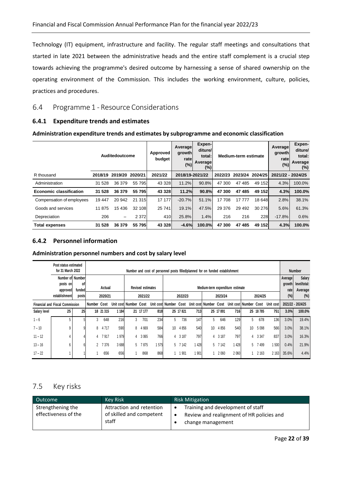Technology (IT) equipment, infrastructure and facility. The regular staff meetings and consultations that started in late 2021 between the administrative heads and the entire staff complement is a crucial step towards achieving the programme's desired outcome by harnessing a sense of shared ownership on the operating environment of the Commission. This includes the working environment, culture, policies, practices and procedures.

## 6.4 Programme 1 - Resource Considerations

#### **6.4.1 Expenditure trends and estimates**

#### **Administration expenditure trends and estimates by subprogramme and economic classification**

| Auditedoutcome                 |         |                 | <b>Approved</b><br>budget | Average<br>growth<br>rate<br>$(\%)$ | Expen-<br>diture/<br>total:<br>Average<br>(%) |        | Medium-term estimate | Average<br>growth<br>rate<br>(%) | Expen-<br>diture/<br>total:<br>Average<br>(%) |                   |        |
|--------------------------------|---------|-----------------|---------------------------|-------------------------------------|-----------------------------------------------|--------|----------------------|----------------------------------|-----------------------------------------------|-------------------|--------|
| R thousand                     | 2018/19 | 2019/20         | 2020/21                   | 2021/22                             | 2018/19-2021/22                               |        | 2022/23              |                                  | 2023/24 2024/25                               | 2021/22 - 2024/25 |        |
| Administration                 | 31 528  | 36 379          | 55 795                    | 43 328                              | 11.2%                                         | 90.8%  | 47 300               | 47 485                           | 49 152                                        | 4.3%              | 100.0% |
| <b>Economic classification</b> | 31 528  | 36 379          | 55 795                    | 43 328                              | 11.2%                                         | 90.8%  | 47 300               | 47 485                           | 49 152                                        | 4.3%              | 100.0% |
| Compensation of employees      | 19 447  | 20 942          | 21 315                    | 17 177                              | $-20.7%$                                      | 51.1%  | 17 708               | 17<br>777                        | 18 648                                        | 2.8%              | 38.1%  |
| Goods and services             | 11 875  | 15 4 36         | 32 108                    | 25 741                              | 19.1%                                         | 47.5%  | 29 376               | 29 4 9 2                         | 30 276                                        | 5.6%              | 61.3%  |
| Depreciation                   | 206     | $\qquad \qquad$ | 2 3 7 2                   | 410                                 | 25.8%                                         | 1.4%   | 216                  | 216                              | 228                                           | $-17.8%$          | 0.6%   |
| <b>Total expenses</b>          | 31 528  | 36 379          | 55 795                    | 43 3 28                             | $-4.6%$                                       | 100.0% | 47 300               | 47 485                           | 49 152                                        | 4.3%              | 100.0% |

### **6.4.2 Personnel information**

#### **Administration personnel numbers and cost by salary level**

|              |                                          | Post status estimated<br>for 31 March 2022<br>Number and cost of personnel posts filled/planned for on funded establishment |                |           |       |                       |                          |                       |                 |           |                       |                  |           |                                  |                  |           |           | <b>Number</b>             |                                   |
|--------------|------------------------------------------|-----------------------------------------------------------------------------------------------------------------------------|----------------|-----------|-------|-----------------------|--------------------------|-----------------------|-----------------|-----------|-----------------------|------------------|-----------|----------------------------------|------------------|-----------|-----------|---------------------------|-----------------------------------|
|              | Number of Number<br>posts on<br>approved | οf<br>funded                                                                                                                |                | Actual    |       |                       | <b>Revised estimates</b> |                       |                 |           |                       |                  |           | Medium-term expenditure estimate |                  |           |           | Average<br>growth<br>rate | Salary<br>level/total:<br>Average |
|              | establishment                            | posts                                                                                                                       |                | 2020/21   |       |                       | 2021/22                  |                       |                 | 2022/23   |                       |                  | 2023/24   |                                  |                  | 2024/25   |           | $(\%)$                    | (%)                               |
|              | <b>Financial and Fiscal Commission</b>   |                                                                                                                             | Number Cost    |           |       | Unit cost Number Cost |                          | Unit cost Number Cost |                 |           | Unit cost Number Cost |                  |           | Unit cost Number Cost            |                  |           | Unit cost |                           | 2021/22 - 2024/25                 |
| Salary level | 25                                       | 25                                                                                                                          |                | 18 21 315 | 1 184 |                       | 21 17 177                | 818                   |                 | 25 17 821 | 713                   |                  | 25 17 891 | 716                              |                  | 25 18 785 | 751       | 3.0%                      | 100.0%                            |
| $1 - 6$      | 5                                        |                                                                                                                             | 3              | 648       | 216   | 3                     | 701                      | 234                   | 5               | 736       | 147                   | 5                | 646       | 129                              | 5                | 678       | 136       | 3.0%                      | 19.4%                             |
| $7 - 10$     | 9                                        |                                                                                                                             | 8              | 4717      | 590   | 8                     | 4 6 6 9                  | 584                   | 10 <sup>°</sup> | 4 8 5 6   | 540                   | 10 <sup>10</sup> | 4856      | 540                              | 10 <sup>10</sup> | 5 0 9 8   | 566       | 3.0%                      | 38.1%                             |
| $11 - 12$    | 4                                        |                                                                                                                             | 4              | 7917      | 1979  |                       | 4 3 0 6 5                | 766                   |                 | 4 3 187   | 797                   |                  | 4 3 187   | 797                              | 4                | 3 3 4 7   | 837       | 3.0%                      | 16.3%                             |
| $13 - 16$    | 6                                        |                                                                                                                             | $\overline{2}$ | 7 3 7 6   | 3688  | 5                     | 7875                     | 575                   |                 | 5 7 1 4 2 | 428                   |                  | 5 7 1 4 2 | 428                              | 5                | 499       | 500       | 0.4%                      | 21.9%                             |
| $17 - 22$    |                                          |                                                                                                                             |                | 656       | 656   |                       | 868                      | 868                   |                 | 1 901     | 1 901                 |                  | 2 0 6 0   | 2 0 6 0                          |                  | 2 1 6 3   | 2 1 6 3   | 35.6%                     | 4.4%                              |

### 7.5 Key risks

| Outcome                                   | <b>Key Risk</b>                                               | <b>Risk Mitigation</b>                                                                                                        |
|-------------------------------------------|---------------------------------------------------------------|-------------------------------------------------------------------------------------------------------------------------------|
| Strengthening the<br>effectiveness of the | Attraction and retention<br>of skilled and competent<br>staff | Training and development of staff<br>$\bullet$<br>Review and realignment of HR policies and<br>$\bullet$<br>change management |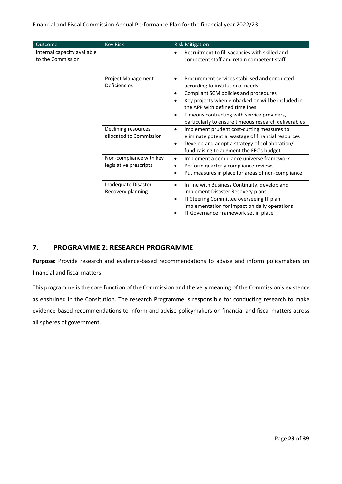| Outcome                                          | <b>Key Risk</b>                                   | <b>Risk Mitigation</b>                                                                                                                                                                                                                                                                                                                                                       |
|--------------------------------------------------|---------------------------------------------------|------------------------------------------------------------------------------------------------------------------------------------------------------------------------------------------------------------------------------------------------------------------------------------------------------------------------------------------------------------------------------|
| internal capacity available<br>to the Commission |                                                   | Recruitment to fill vacancies with skilled and<br>$\bullet$<br>competent staff and retain competent staff                                                                                                                                                                                                                                                                    |
|                                                  | Project Management<br>Deficiencies                | Procurement services stabilised and conducted<br>$\bullet$<br>according to institutional needs<br>Compliant SCM policies and procedures<br>$\bullet$<br>Key projects when embarked on will be included in<br>$\bullet$<br>the APP with defined timelines<br>Timeous contracting with service providers,<br>$\bullet$<br>particularly to ensure timeous research deliverables |
|                                                  | Declining resources<br>allocated to Commission    | Implement prudent cost-cutting measures to<br>$\bullet$<br>eliminate potential wastage of financial resources<br>Develop and adopt a strategy of collaboration/<br>$\bullet$<br>fund-raising to augment the FFC's budget                                                                                                                                                     |
|                                                  | Non-compliance with key<br>legislative prescripts | Implement a compliance universe framework<br>$\bullet$<br>Perform quarterly compliance reviews<br>$\bullet$<br>Put measures in place for areas of non-compliance<br>$\bullet$                                                                                                                                                                                                |
|                                                  | Inadequate Disaster<br>Recovery planning          | In line with Business Continuity, develop and<br>$\bullet$<br>implement Disaster Recovery plans<br>IT Steering Committee overseeing IT plan<br>$\bullet$<br>implementation for impact on daily operations<br>IT Governance Framework set in place<br>$\bullet$                                                                                                               |

## **7. PROGRAMME 2: RESEARCH PROGRAMME**

**Purpose:** Provide research and evidence-based recommendations to advise and inform policymakers on financial and fiscal matters.

This programme is the core function of the Commission and the very meaning of the Commission's existence as enshrined in the Consitution. The research Programme is responsible for conducting research to make evidence-based recommendations to inform and advise policymakers on financial and fiscal matters across all spheres of government.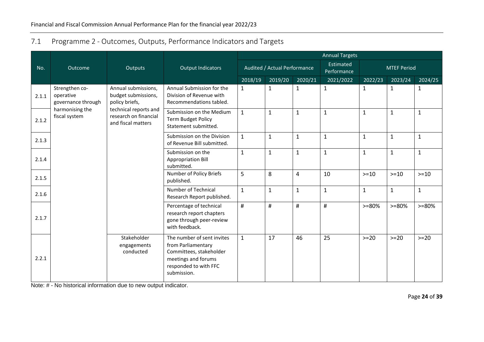|       |                                                   |                                                                      |                                                                                                                                            | <b>Annual Targets</b> |                              |                |                          |                    |              |              |  |
|-------|---------------------------------------------------|----------------------------------------------------------------------|--------------------------------------------------------------------------------------------------------------------------------------------|-----------------------|------------------------------|----------------|--------------------------|--------------------|--------------|--------------|--|
| No.   | Outcome                                           | Outputs                                                              | <b>Output Indicators</b>                                                                                                                   |                       | Audited / Actual Performance |                | Estimated<br>Performance | <b>MTEF Period</b> |              |              |  |
|       |                                                   |                                                                      |                                                                                                                                            | 2018/19               | 2019/20                      | 2020/21        | 2021/2022                | 2022/23            | 2023/24      | 2024/25      |  |
| 2.1.1 | Strengthen co-<br>operative<br>governance through | Annual submissions,<br>budget submissions,<br>policy briefs,         | Annual Submission for the<br>Division of Revenue with<br>Recommendations tabled.                                                           | $\mathbf{1}$          | 1                            | $\mathbf{1}$   | 1                        | $\mathbf{1}$       | 1            | 1            |  |
| 2.1.2 | harmonising the<br>fiscal system                  | technical reports and<br>research on financial<br>and fiscal matters | Submission on the Medium<br><b>Term Budget Policy</b><br>Statement submitted.                                                              | $\mathbf{1}$          | $\mathbf 1$                  | $\mathbf{1}$   | $\mathbf{1}$             | $\mathbf{1}$       | $\mathbf{1}$ | $\mathbf{1}$ |  |
| 2.1.3 |                                                   |                                                                      | Submission on the Division<br>of Revenue Bill submitted.                                                                                   | $\mathbf{1}$          | $\mathbf{1}$                 | $\mathbf 1$    | $\mathbf{1}$             | $\mathbf{1}$       | $\mathbf{1}$ | $\mathbf{1}$ |  |
| 2.1.4 |                                                   |                                                                      | Submission on the<br><b>Appropriation Bill</b><br>submitted.                                                                               | $\mathbf{1}$          | $\mathbf 1$                  | $\mathbf{1}$   | $\mathbf{1}$             | $\mathbf{1}$       | $\mathbf{1}$ | $\mathbf{1}$ |  |
| 2.1.5 |                                                   |                                                                      | Number of Policy Briefs<br>published.                                                                                                      | 5                     | 8                            | $\overline{4}$ | 10                       | $>=10$             | $>=10$       | $>=10$       |  |
| 2.1.6 |                                                   |                                                                      | Number of Technical<br>Research Report published.                                                                                          | $\mathbf{1}$          | $\mathbf 1$                  | $\mathbf 1$    | $\mathbf{1}$             | $\mathbf{1}$       | $\mathbf{1}$ | $\mathbf{1}$ |  |
| 2.1.7 |                                                   |                                                                      | Percentage of technical<br>research report chapters<br>gone through peer-review<br>with feedback.                                          | $\#$                  | $\#$                         | $\#$           | $\sharp$                 | $>= 80%$           | $>= 80%$     | $>= 80%$     |  |
| 2.2.1 |                                                   | Stakeholder<br>engagements<br>conducted                              | The number of sent invites<br>from Parliamentary<br>Committees, stakeholder<br>meetings and forums<br>responded to with FFC<br>submission. | $\mathbf{1}$          | 17                           | 46             | 25                       | $>=20$             | $>=20$       | $>=20$       |  |

## 7.1 Programme 2 - Outcomes, Outputs, Performance Indicators and Targets

Note: # - No historical information due to new output indicator.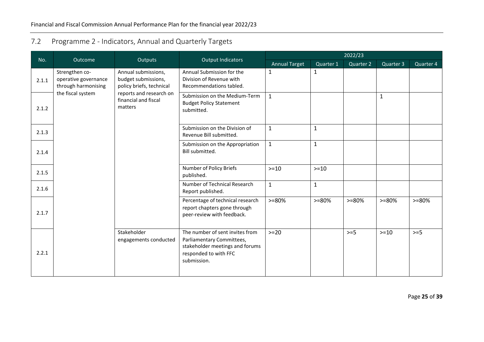## 7.2 Programme 2 - Indicators, Annual and Quarterly Targets

|       |                                                               |                                                                        |                                                                                                                                         |                      |              | 2022/23   |              |           |
|-------|---------------------------------------------------------------|------------------------------------------------------------------------|-----------------------------------------------------------------------------------------------------------------------------------------|----------------------|--------------|-----------|--------------|-----------|
| No.   | Outcome                                                       | Outputs                                                                | <b>Output Indicators</b>                                                                                                                | <b>Annual Target</b> | Quarter 1    | Quarter 2 | Quarter 3    | Quarter 4 |
| 2.1.1 | Strengthen co-<br>operative governance<br>through harmonising | Annual submissions,<br>budget submissions,<br>policy briefs, technical | Annual Submission for the<br>Division of Revenue with<br>Recommendations tabled.                                                        | 1                    | 1            |           |              |           |
| 2.1.2 | the fiscal system                                             | reports and research on<br>financial and fiscal<br>matters             | Submission on the Medium-Term<br><b>Budget Policy Statement</b><br>submitted.                                                           | $\mathbf{1}$         |              |           | $\mathbf{1}$ |           |
| 2.1.3 |                                                               |                                                                        | Submission on the Division of<br>Revenue Bill submitted.                                                                                | $\mathbf{1}$         | $\mathbf{1}$ |           |              |           |
| 2.1.4 |                                                               |                                                                        | Submission on the Appropriation<br>Bill submitted.                                                                                      | $\mathbf{1}$         | $\mathbf{1}$ |           |              |           |
| 2.1.5 |                                                               |                                                                        | Number of Policy Briefs<br>published.                                                                                                   | $>=10$               | $>=10$       |           |              |           |
| 2.1.6 |                                                               |                                                                        | Number of Technical Research<br>Report published.                                                                                       | $\mathbf{1}$         | $\mathbf{1}$ |           |              |           |
| 2.1.7 |                                                               |                                                                        | Percentage of technical research<br>report chapters gone through<br>peer-review with feedback.                                          | $>= 80%$             | $>=80%$      | $>=80%$   | $>=80%$      | $>=80%$   |
| 2.2.1 |                                                               | Stakeholder<br>engagements conducted                                   | The number of sent invites from<br>Parliamentary Committees,<br>stakeholder meetings and forums<br>responded to with FFC<br>submission. | $>=20$               |              | $>=5$     | $>=10$       | $>=5$     |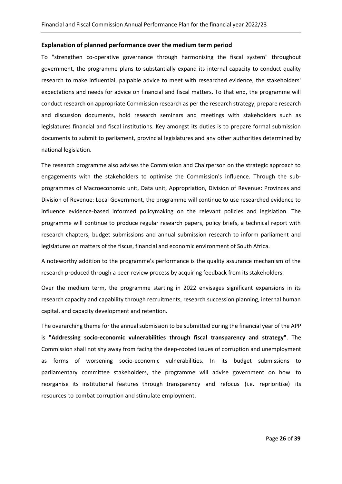#### **Explanation of planned performance over the medium term period**

To "strengthen co-operative governance through harmonising the fiscal system" throughout government, the programme plans to substantially expand its internal capacity to conduct quality research to make influential, palpable advice to meet with researched evidence, the stakeholders' expectations and needs for advice on financial and fiscal matters. To that end, the programme will conduct research on appropriate Commission research as per the research strategy, prepare research and discussion documents, hold research seminars and meetings with stakeholders such as legislatures financial and fiscal institutions. Key amongst its duties is to prepare formal submission documents to submit to parliament, provincial legislatures and any other authorities determined by national legislation.

The research programme also advises the Commission and Chairperson on the strategic approach to engagements with the stakeholders to optimise the Commission's influence. Through the subprogrammes of Macroeconomic unit, Data unit, Appropriation, Division of Revenue: Provinces and Division of Revenue: Local Government, the programme will continue to use researched evidence to influence evidence-based informed policymaking on the relevant policies and legislation. The programme will continue to produce regular research papers, policy briefs, a technical report with research chapters, budget submissions and annual submission research to inform parliament and legislatures on matters of the fiscus, financial and economic environment of South Africa.

A noteworthy addition to the programme's performance is the quality assurance mechanism of the research produced through a peer-review process by acquiring feedback from its stakeholders.

Over the medium term, the programme starting in 2022 envisages significant expansions in its research capacity and capability through recruitments, research succession planning, internal human capital, and capacity development and retention.

The overarching theme for the annual submission to be submitted during the financial year of the APP is **"Addressing socio-economic vulnerabilities through fiscal transparency and strategy"**. The Commission shall not shy away from facing the deep-rooted issues of corruption and unemployment as forms of worsening socio-economic vulnerabilities. In its budget submissions to parliamentary committee stakeholders, the programme will advise government on how to reorganise its institutional features through transparency and refocus (i.e. reprioritise) its resources to combat corruption and stimulate employment.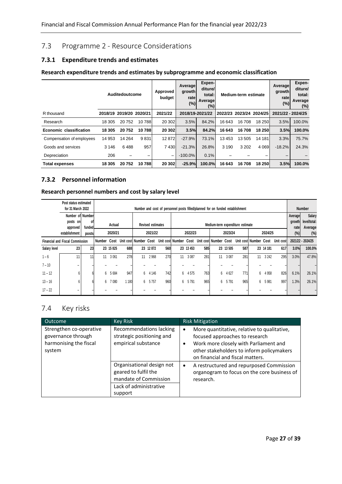## 7.3 Programme 2 - Resource Considerations

### **7.3.1 Expenditure trends and estimates**

#### **Research expenditure trends and estimates by subprogramme and economic classification**

|                           | Auditedoutcome |         |         | Approved<br>budget | Expen-<br>Average<br>diture/<br>growth<br>Medium-term estimate<br>total:<br>rate<br>Average<br>$(\%)$<br>$(\%)$ |        |         |         |                 | Average<br>growth<br>rate<br>(%) | Expen-<br>diture/<br>total:<br>Average<br>$(\%)$ |
|---------------------------|----------------|---------|---------|--------------------|-----------------------------------------------------------------------------------------------------------------|--------|---------|---------|-----------------|----------------------------------|--------------------------------------------------|
| R thousand                | 2018/19        | 2019/20 | 2020/21 | 2021/22            | 2018/19-2021/22                                                                                                 |        | 2022/23 |         | 2023/24 2024/25 | 2021/22 - 2024/25                |                                                  |
| Research                  | 18 305         | 20752   | 10788   | 20 30 2            | 3.5%                                                                                                            | 84.2%  | 16 643  | 16708   | 18 250          | 3.5%                             | 100.0%                                           |
| Economic classification   | 18 305         | 20752   | 10788   | 20 30 2            | 3.5%                                                                                                            | 84.2%  | 16 643  | 16708   | 18 250          | 3.5%                             | 100.0%                                           |
| Compensation of employees | 14 953         | 14 2 64 | 9831    | 12872              | $-27.9%$                                                                                                        | 73.1%  | 13453   | 13505   | 14 181          | 3.3%                             | 75.7%                                            |
| Goods and services        | 3 1 4 6        | 6488    | 957     | 7430               | $-21.3%$                                                                                                        | 26.8%  | 3 1 9 0 | 3 2 0 2 | 4 0 6 9         | $-18.2%$                         | 24.3%                                            |
| Depreciation              | 206            |         | -       | $\qquad \qquad -$  | $-100.0\%$                                                                                                      | 0.1%   |         |         |                 | -                                |                                                  |
| <b>Total expenses</b>     | 18 305         | 20752   | 10788   | 20 30 2            | $-25.9%$                                                                                                        | 100.0% | 16 643  | 16708   | 18 250          | 3.5%                             | 100.0%                                           |

### **7.3.2 Personnel information**

### **Research personnel numbers and cost by salary level**

|              | Post status estimated                  |        |        |           |                       |    |                          |                                                                               |    |           |                       |    |           |                                  |    |           |                                 |                |                         |
|--------------|----------------------------------------|--------|--------|-----------|-----------------------|----|--------------------------|-------------------------------------------------------------------------------|----|-----------|-----------------------|----|-----------|----------------------------------|----|-----------|---------------------------------|----------------|-------------------------|
|              | for 31 March 2022                      |        |        |           |                       |    |                          | Number and cost of personnel posts filled/planned for on funded establishment |    |           |                       |    |           |                                  |    |           |                                 |                | <b>Number</b>           |
|              | Number of Number                       |        |        |           |                       |    |                          |                                                                               |    |           |                       |    |           |                                  |    |           |                                 | Average        | <b>Salary</b>           |
|              | posts on<br>approved                   | funded |        | Actual    |                       |    | <b>Revised estimates</b> |                                                                               |    |           |                       |    |           | Medium-term expenditure estimate |    |           |                                 | growth<br>rate | level/total:<br>Average |
|              | establishment                          | posts  |        | 2020/21   |                       |    | 2021/22                  |                                                                               |    | 2022/23   |                       |    | 2023/24   |                                  |    | 2024/25   |                                 | $(\%)$         | (%)                     |
|              | <b>Financial and Fiscal Commission</b> |        | Number | Cost      | Unit cost Number Cost |    |                          | Unit cost Number Cost                                                         |    |           | Unit cost Number Cost |    |           |                                  |    |           | Unit cost Number Cost Unit cost |                | 2021/22 - 2024/25       |
| Salary level | 23                                     | 23     |        | 23 15 825 | 688                   |    | 23 12 872                | 560                                                                           |    | 23 13 453 | 585                   |    | 23 13 505 | 587                              |    | 23 14 181 | 617                             | 3.0%           | 100.0%                  |
| $1 - 6$      |                                        | 11     | 11     | 3 0 6 1   | 278                   | 11 | 2968                     | 270                                                                           | 11 | 3087      | 281                   | 11 | 3087      | 281                              | 11 | 3 2 4 2   | 295                             | 3.0%           | 47.8%                   |
| $7 - 10$     | -                                      |        |        |           |                       |    |                          |                                                                               |    |           |                       |    |           |                                  |    |           |                                 |                |                         |
| $11 - 12$    |                                        |        | 6      | 5684      | 947                   | 6  | 4 1 4 6                  | 742                                                                           | 6  | 4575      | 763                   |    | 6 4 6 27  | 771                              | 6  | 4958      | 826                             | 6.1%           | 26.1%                   |
| $13 - 16$    |                                        |        | ĥ      | 7 0 8 0   | 1 1 8 0               | 6  | 5757                     | 960                                                                           | 6  | 5791      | 965                   | 6  | 5791      | 965                              | 6  | 5981      | 997                             | 1.3%           | 26.1%                   |
| $17 - 22$    |                                        |        |        |           |                       |    |                          |                                                                               |    |           |                       |    |           |                                  |    |           |                                 |                |                         |

## 7.4 Key risks

| Outcome                                                                           | Key Risk                                                                                                        | <b>Risk Mitigation</b>                                                                                                                                                                                                    |
|-----------------------------------------------------------------------------------|-----------------------------------------------------------------------------------------------------------------|---------------------------------------------------------------------------------------------------------------------------------------------------------------------------------------------------------------------------|
| Strengthen co-operative<br>governance through<br>harmonising the fiscal<br>system | Recommendations lacking<br>strategic positioning and<br>empirical substance                                     | More quantitative, relative to qualitative,<br>٠<br>focused approaches to research<br>Work more closely with Parliament and<br>$\bullet$<br>other stakeholders to inform policymakers<br>on financial and fiscal matters. |
|                                                                                   | Organisational design not<br>geared to fulfil the<br>mandate of Commission<br>Lack of administrative<br>support | A restructured and repurposed Commission<br>٠<br>organogram to focus on the core business of<br>research.                                                                                                                 |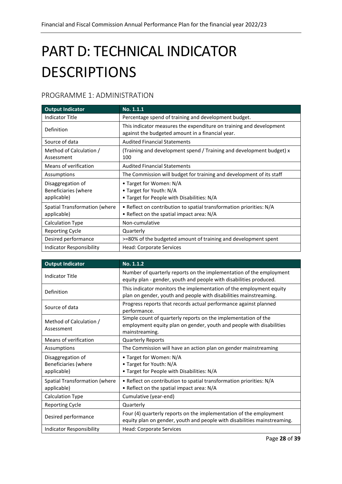## PART D: TECHNICAL INDICATOR DESCRIPTIONS

## PROGRAMME 1: ADMINISTRATION

| <b>Output Indicator</b>                                  | No. 1.1.1                                                                                                               |
|----------------------------------------------------------|-------------------------------------------------------------------------------------------------------------------------|
| <b>Indicator Title</b>                                   | Percentage spend of training and development budget.                                                                    |
| Definition                                               | This indicator measures the expenditure on training and development<br>against the budgeted amount in a financial year. |
| Source of data                                           | <b>Audited Financial Statements</b>                                                                                     |
| Method of Calculation /<br>Assessment                    | (Training and development spend / Training and development budget) x<br>100                                             |
| Means of verification                                    | <b>Audited Financial Statements</b>                                                                                     |
| Assumptions                                              | The Commission will budget for training and development of its staff                                                    |
| Disaggregation of<br>Beneficiaries (where<br>applicable) | • Target for Women: N/A<br>• Target for Youth: N/A<br>• Target for People with Disabilities: N/A                        |
| Spatial Transformation (where<br>applicable)             | • Reflect on contribution to spatial transformation priorities: N/A<br>• Reflect on the spatial impact area: N/A        |
| <b>Calculation Type</b>                                  | Non-cumulative                                                                                                          |
| <b>Reporting Cycle</b>                                   | Quarterly                                                                                                               |
| Desired performance                                      | >=80% of the budgeted amount of training and development spent                                                          |
| <b>Indicator Responsibility</b>                          | Head: Corporate Services                                                                                                |

| <b>Output Indicator</b>                                  | No. 1.1.2                                                                                                                                                |
|----------------------------------------------------------|----------------------------------------------------------------------------------------------------------------------------------------------------------|
| <b>Indicator Title</b>                                   | Number of quarterly reports on the implementation of the employment<br>equity plan - gender, youth and people with disabilities produced.                |
| Definition                                               | This indicator monitors the implementation of the employment equity<br>plan on gender, youth and people with disabilities mainstreaming.                 |
| Source of data                                           | Progress reports that records actual performance against planned<br>performance.                                                                         |
| Method of Calculation /<br>Assessment                    | Simple count of quarterly reports on the implementation of the<br>employment equity plan on gender, youth and people with disabilities<br>mainstreaming. |
| Means of verification                                    | <b>Quarterly Reports</b>                                                                                                                                 |
| Assumptions                                              | The Commission will have an action plan on gender mainstreaming                                                                                          |
| Disaggregation of<br>Beneficiaries (where<br>applicable) | • Target for Women: N/A<br>• Target for Youth: N/A<br>• Target for People with Disabilities: N/A                                                         |
| Spatial Transformation (where<br>applicable)             | • Reflect on contribution to spatial transformation priorities: N/A<br>• Reflect on the spatial impact area: N/A                                         |
| <b>Calculation Type</b>                                  | Cumulative (year-end)                                                                                                                                    |
| <b>Reporting Cycle</b>                                   | Quarterly                                                                                                                                                |
| Desired performance                                      | Four (4) quarterly reports on the implementation of the employment<br>equity plan on gender, youth and people with disabilities mainstreaming.           |
| <b>Indicator Responsibility</b>                          | Head: Corporate Services                                                                                                                                 |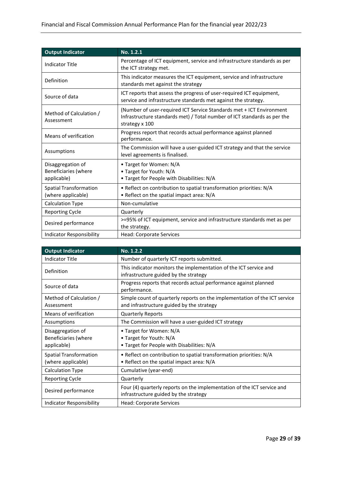| <b>Output Indicator</b>                                  | No. 1.2.1                                                                                                                                                          |
|----------------------------------------------------------|--------------------------------------------------------------------------------------------------------------------------------------------------------------------|
| <b>Indicator Title</b>                                   | Percentage of ICT equipment, service and infrastructure standards as per<br>the ICT strategy met.                                                                  |
| Definition                                               | This indicator measures the ICT equipment, service and infrastructure<br>standards met against the strategy                                                        |
| Source of data                                           | ICT reports that assess the progress of user-required ICT equipment,<br>service and infrastructure standards met against the strategy.                             |
| Method of Calculation /<br>Assessment                    | (Number of user-required ICT Service Standards met + ICT Environment<br>Infrastructure standards met) / Total number of ICT standards as per the<br>strategy x 100 |
| Means of verification                                    | Progress report that records actual performance against planned<br>performance.                                                                                    |
| Assumptions                                              | The Commission will have a user-guided ICT strategy and that the service<br>level agreements is finalised.                                                         |
| Disaggregation of<br>Beneficiaries (where<br>applicable) | • Target for Women: N/A<br>• Target for Youth: N/A<br>• Target for People with Disabilities: N/A                                                                   |
| <b>Spatial Transformation</b><br>(where applicable)      | . Reflect on contribution to spatial transformation priorities: N/A<br>• Reflect on the spatial impact area: N/A                                                   |
| <b>Calculation Type</b>                                  | Non-cumulative                                                                                                                                                     |
| <b>Reporting Cycle</b>                                   | Quarterly                                                                                                                                                          |
| Desired performance                                      | >=95% of ICT equipment, service and infrastructure standards met as per<br>the strategy.                                                                           |
| Indicator Responsibility                                 | Head: Corporate Services                                                                                                                                           |

| <b>Output Indicator</b>                                  | No. 1.2.2                                                                                                               |
|----------------------------------------------------------|-------------------------------------------------------------------------------------------------------------------------|
| <b>Indicator Title</b>                                   | Number of quarterly ICT reports submitted.                                                                              |
| Definition                                               | This indicator monitors the implementation of the ICT service and<br>infrastructure guided by the strategy              |
| Source of data                                           | Progress reports that records actual performance against planned<br>performance.                                        |
| Method of Calculation /<br>Assessment                    | Simple count of quarterly reports on the implementation of the ICT service<br>and infrastructure guided by the strategy |
| Means of verification                                    | <b>Quarterly Reports</b>                                                                                                |
| Assumptions                                              | The Commission will have a user-guided ICT strategy                                                                     |
| Disaggregation of<br>Beneficiaries (where<br>applicable) | • Target for Women: N/A<br>• Target for Youth: N/A<br>• Target for People with Disabilities: N/A                        |
| <b>Spatial Transformation</b><br>(where applicable)      | • Reflect on contribution to spatial transformation priorities: N/A<br>• Reflect on the spatial impact area: N/A        |
| <b>Calculation Type</b>                                  | Cumulative (year-end)                                                                                                   |
| <b>Reporting Cycle</b>                                   | Quarterly                                                                                                               |
| Desired performance                                      | Four (4) quarterly reports on the implementation of the ICT service and<br>infrastructure guided by the strategy        |
| Indicator Responsibility                                 | Head: Corporate Services                                                                                                |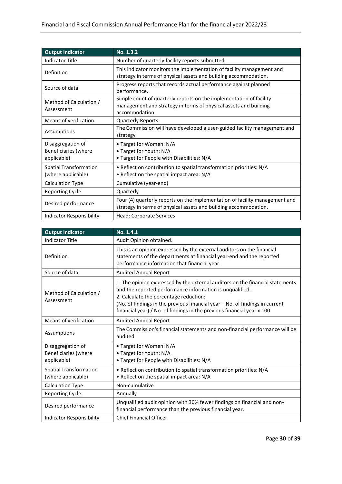| <b>Output Indicator</b>                                  | No. 1.3.2                                                                                                                                                 |
|----------------------------------------------------------|-----------------------------------------------------------------------------------------------------------------------------------------------------------|
| <b>Indicator Title</b>                                   | Number of quarterly facility reports submitted.                                                                                                           |
| Definition                                               | This indicator monitors the implementation of facility management and<br>strategy in terms of physical assets and building accommodation.                 |
| Source of data                                           | Progress reports that records actual performance against planned<br>performance.                                                                          |
| Method of Calculation /<br>Assessment                    | Simple count of quarterly reports on the implementation of facility<br>management and strategy in terms of physical assets and building<br>accommodation. |
| Means of verification                                    | <b>Quarterly Reports</b>                                                                                                                                  |
| Assumptions                                              | The Commission will have developed a user-guided facility management and<br>strategy                                                                      |
| Disaggregation of<br>Beneficiaries (where<br>applicable) | • Target for Women: N/A<br>• Target for Youth: N/A<br>• Target for People with Disabilities: N/A                                                          |
| <b>Spatial Transformation</b><br>(where applicable)      | • Reflect on contribution to spatial transformation priorities: N/A<br>• Reflect on the spatial impact area: N/A                                          |
| <b>Calculation Type</b>                                  | Cumulative (year-end)                                                                                                                                     |
| <b>Reporting Cycle</b>                                   | Quarterly                                                                                                                                                 |
| Desired performance                                      | Four (4) quarterly reports on the implementation of facility management and<br>strategy in terms of physical assets and building accommodation.           |
| Indicator Responsibility                                 | Head: Corporate Services                                                                                                                                  |

| <b>Output Indicator</b>                                  | No. 1.4.1                                                                                                                                                                                                                                                                                                                                     |
|----------------------------------------------------------|-----------------------------------------------------------------------------------------------------------------------------------------------------------------------------------------------------------------------------------------------------------------------------------------------------------------------------------------------|
| <b>Indicator Title</b>                                   | Audit Opinion obtained.                                                                                                                                                                                                                                                                                                                       |
| Definition                                               | This is an opinion expressed by the external auditors on the financial<br>statements of the departments at financial year-end and the reported<br>performance information that financial year.                                                                                                                                                |
| Source of data                                           | <b>Audited Annual Report</b>                                                                                                                                                                                                                                                                                                                  |
| Method of Calculation /<br>Assessment                    | 1. The opinion expressed by the external auditors on the financial statements<br>and the reported performance information is unqualified.<br>2. Calculate the percentage reduction:<br>(No. of findings in the previous financial year - No. of findings in current<br>financial year) / No. of findings in the previous financial year x 100 |
| Means of verification                                    | <b>Audited Annual Report</b>                                                                                                                                                                                                                                                                                                                  |
| Assumptions                                              | The Commission's financial statements and non-financial performance will be<br>audited                                                                                                                                                                                                                                                        |
| Disaggregation of<br>Beneficiaries (where<br>applicable) | • Target for Women: N/A<br>• Target for Youth: N/A<br>• Target for People with Disabilities: N/A                                                                                                                                                                                                                                              |
| <b>Spatial Transformation</b><br>(where applicable)      | . Reflect on contribution to spatial transformation priorities: N/A<br>• Reflect on the spatial impact area: N/A                                                                                                                                                                                                                              |
| <b>Calculation Type</b>                                  | Non-cumulative                                                                                                                                                                                                                                                                                                                                |
| <b>Reporting Cycle</b>                                   | Annually                                                                                                                                                                                                                                                                                                                                      |
| Desired performance                                      | Unqualified audit opinion with 30% fewer findings on financial and non-<br>financial performance than the previous financial year.                                                                                                                                                                                                            |
| Indicator Responsibility                                 | <b>Chief Financial Officer</b>                                                                                                                                                                                                                                                                                                                |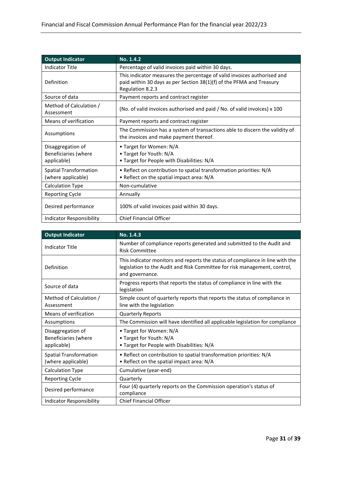| <b>Output Indicator</b>                                  | No. 1.4.2                                                                                                                                                           |
|----------------------------------------------------------|---------------------------------------------------------------------------------------------------------------------------------------------------------------------|
| <b>Indicator Title</b>                                   | Percentage of valid invoices paid within 30 days.                                                                                                                   |
| Definition                                               | This indicator measures the percentage of valid invoices authorised and<br>paid within 30 days as per Section 38(1)(f) of the PFMA and Treasury<br>Regulation 8.2.3 |
| Source of data                                           | Payment reports and contract register                                                                                                                               |
| Method of Calculation /<br>Assessment                    | (No. of valid invoices authorised and paid / No. of valid invoices) x 100                                                                                           |
| Means of verification                                    | Payment reports and contract register                                                                                                                               |
| Assumptions                                              | The Commission has a system of transactions able to discern the validity of<br>the invoices and make payment thereof.                                               |
| Disaggregation of<br>Beneficiaries (where<br>applicable) | • Target for Women: N/A<br>• Target for Youth: N/A<br>• Target for People with Disabilities: N/A                                                                    |
| <b>Spatial Transformation</b><br>(where applicable)      | • Reflect on contribution to spatial transformation priorities: N/A<br>• Reflect on the spatial impact area: N/A                                                    |
| <b>Calculation Type</b>                                  | Non-cumulative                                                                                                                                                      |
| <b>Reporting Cycle</b>                                   | Annually                                                                                                                                                            |
| Desired performance                                      | 100% of valid invoices paid within 30 days.                                                                                                                         |
| Indicator Responsibility                                 | <b>Chief Financial Officer</b>                                                                                                                                      |

| <b>Output Indicator</b>                                  | No. 1.4.3                                                                                                                                                                     |
|----------------------------------------------------------|-------------------------------------------------------------------------------------------------------------------------------------------------------------------------------|
| <b>Indicator Title</b>                                   | Number of compliance reports generated and submitted to the Audit and<br><b>Risk Committee</b>                                                                                |
| Definition                                               | This indicator monitors and reports the status of compliance in line with the<br>legislation to the Audit and Risk Committee for risk management, control,<br>and governance. |
| Source of data                                           | Progress reports that reports the status of compliance in line with the<br>legislation                                                                                        |
| Method of Calculation /<br>Assessment                    | Simple count of quarterly reports that reports the status of compliance in<br>line with the legislation                                                                       |
| Means of verification                                    | <b>Quarterly Reports</b>                                                                                                                                                      |
| Assumptions                                              | The Commission will have identified all applicable legislation for compliance                                                                                                 |
| Disaggregation of<br>Beneficiaries (where<br>applicable) | • Target for Women: N/A<br>• Target for Youth: N/A<br>• Target for People with Disabilities: N/A                                                                              |
| <b>Spatial Transformation</b><br>(where applicable)      | • Reflect on contribution to spatial transformation priorities: N/A<br>• Reflect on the spatial impact area: N/A                                                              |
| <b>Calculation Type</b>                                  | Cumulative (year-end)                                                                                                                                                         |
| <b>Reporting Cycle</b>                                   | Quarterly                                                                                                                                                                     |
| Desired performance                                      | Four (4) quarterly reports on the Commission operation's status of<br>compliance                                                                                              |
| Indicator Responsibility                                 | <b>Chief Financial Officer</b>                                                                                                                                                |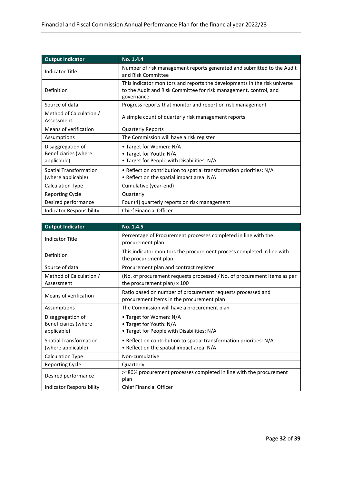| <b>Output Indicator</b>                                  | No. 1.4.4                                                                                                                                                     |
|----------------------------------------------------------|---------------------------------------------------------------------------------------------------------------------------------------------------------------|
| <b>Indicator Title</b>                                   | Number of risk management reports generated and submitted to the Audit<br>and Risk Committee                                                                  |
| Definition                                               | This indicator monitors and reports the developments in the risk universe<br>to the Audit and Risk Committee for risk management, control, and<br>governance. |
| Source of data                                           | Progress reports that monitor and report on risk management                                                                                                   |
| Method of Calculation /<br>Assessment                    | A simple count of quarterly risk management reports                                                                                                           |
| Means of verification                                    | <b>Quarterly Reports</b>                                                                                                                                      |
| Assumptions                                              | The Commission will have a risk register                                                                                                                      |
| Disaggregation of<br>Beneficiaries (where<br>applicable) | • Target for Women: N/A<br>• Target for Youth: N/A<br>• Target for People with Disabilities: N/A                                                              |
| <b>Spatial Transformation</b><br>(where applicable)      | • Reflect on contribution to spatial transformation priorities: N/A<br>• Reflect on the spatial impact area: N/A                                              |
| <b>Calculation Type</b>                                  | Cumulative (year-end)                                                                                                                                         |
| <b>Reporting Cycle</b>                                   | Quarterly                                                                                                                                                     |
| Desired performance                                      | Four (4) quarterly reports on risk management                                                                                                                 |
| Indicator Responsibility                                 | <b>Chief Financial Officer</b>                                                                                                                                |

| <b>Output Indicator</b>                                         | No. 1.4.5                                                                                                        |  |
|-----------------------------------------------------------------|------------------------------------------------------------------------------------------------------------------|--|
| <b>Indicator Title</b>                                          | Percentage of Procurement processes completed in line with the<br>procurement plan                               |  |
| Definition                                                      | This indicator monitors the procurement process completed in line with<br>the procurement plan.                  |  |
| Source of data                                                  | Procurement plan and contract register                                                                           |  |
| Method of Calculation /<br>Assessment                           | (No. of procurement requests processed / No. of procurement items as per<br>the procurement plan) x 100          |  |
| Means of verification                                           | Ratio based on number of procurement requests processed and<br>procurement items in the procurement plan         |  |
| Assumptions                                                     | The Commission will have a procurement plan                                                                      |  |
| Disaggregation of<br><b>Beneficiaries</b> (where<br>applicable) | • Target for Women: N/A<br>• Target for Youth: N/A<br>• Target for People with Disabilities: N/A                 |  |
| <b>Spatial Transformation</b><br>(where applicable)             | • Reflect on contribution to spatial transformation priorities: N/A<br>• Reflect on the spatial impact area: N/A |  |
| <b>Calculation Type</b>                                         | Non-cumulative                                                                                                   |  |
| <b>Reporting Cycle</b>                                          | Quarterly                                                                                                        |  |
| Desired performance                                             | >=80% procurement processes completed in line with the procurement<br>plan                                       |  |
| Indicator Responsibility                                        | <b>Chief Financial Officer</b>                                                                                   |  |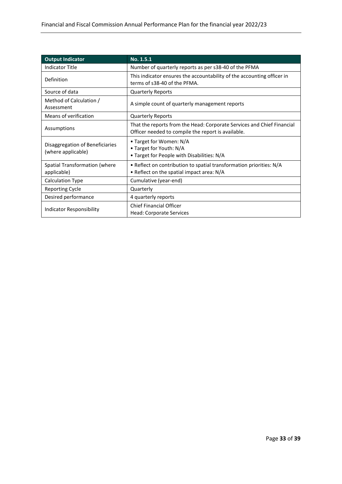| <b>Output Indicator</b>                               | No. 1.5.1                                                                                                                    |  |
|-------------------------------------------------------|------------------------------------------------------------------------------------------------------------------------------|--|
| <b>Indicator Title</b>                                | Number of quarterly reports as per s38-40 of the PFMA                                                                        |  |
| Definition                                            | This indicator ensures the accountability of the accounting officer in<br>terms of s38-40 of the PFMA.                       |  |
| Source of data                                        | <b>Quarterly Reports</b>                                                                                                     |  |
| Method of Calculation /<br>Assessment                 | A simple count of quarterly management reports                                                                               |  |
| Means of verification                                 | <b>Quarterly Reports</b>                                                                                                     |  |
| Assumptions                                           | That the reports from the Head: Corporate Services and Chief Financial<br>Officer needed to compile the report is available. |  |
| Disaggregation of Beneficiaries<br>(where applicable) | • Target for Women: N/A<br>• Target for Youth: N/A<br>• Target for People with Disabilities: N/A                             |  |
| Spatial Transformation (where<br>applicable)          | • Reflect on contribution to spatial transformation priorities: N/A<br>• Reflect on the spatial impact area: N/A             |  |
| <b>Calculation Type</b>                               | Cumulative (year-end)                                                                                                        |  |
| <b>Reporting Cycle</b>                                | Quarterly                                                                                                                    |  |
| Desired performance                                   | 4 quarterly reports                                                                                                          |  |
| Indicator Responsibility                              | <b>Chief Financial Officer</b><br>Head: Corporate Services                                                                   |  |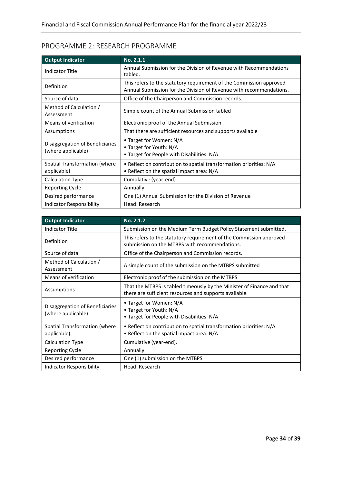## PROGRAMME 2: RESEARCH PROGRAMME

| <b>Output Indicator</b>                               | No. 2.1.1                                                                                                                                  |  |
|-------------------------------------------------------|--------------------------------------------------------------------------------------------------------------------------------------------|--|
| <b>Indicator Title</b>                                | Annual Submission for the Division of Revenue with Recommendations<br>tabled.                                                              |  |
| Definition                                            | This refers to the statutory requirement of the Commission approved<br>Annual Submission for the Division of Revenue with recommendations. |  |
| Source of data                                        | Office of the Chairperson and Commission records.                                                                                          |  |
| Method of Calculation /<br>Assessment                 | Simple count of the Annual Submission tabled                                                                                               |  |
| Means of verification                                 | Electronic proof of the Annual Submission                                                                                                  |  |
| Assumptions                                           | That there are sufficient resources and supports available                                                                                 |  |
| Disaggregation of Beneficiaries<br>(where applicable) | • Target for Women: N/A<br>• Target for Youth: N/A<br>• Target for People with Disabilities: N/A                                           |  |
| Spatial Transformation (where<br>applicable)          | • Reflect on contribution to spatial transformation priorities: N/A<br>• Reflect on the spatial impact area: N/A                           |  |
| <b>Calculation Type</b>                               | Cumulative (year-end).                                                                                                                     |  |
| <b>Reporting Cycle</b>                                | Annually                                                                                                                                   |  |
| Desired performance                                   | One (1) Annual Submission for the Division of Revenue                                                                                      |  |
| Indicator Responsibility                              | Head: Research                                                                                                                             |  |

| <b>Output Indicator</b>                                                                                                                         | No. 2.1.2                                                                                                            |  |
|-------------------------------------------------------------------------------------------------------------------------------------------------|----------------------------------------------------------------------------------------------------------------------|--|
| <b>Indicator Title</b>                                                                                                                          | Submission on the Medium Term Budget Policy Statement submitted.                                                     |  |
| Definition                                                                                                                                      | This refers to the statutory requirement of the Commission approved<br>submission on the MTBPS with recommendations. |  |
| Source of data                                                                                                                                  | Office of the Chairperson and Commission records.                                                                    |  |
| Method of Calculation /<br>Assessment                                                                                                           | A simple count of the submission on the MTBPS submitted                                                              |  |
| Means of verification                                                                                                                           | Electronic proof of the submission on the MTBPS                                                                      |  |
| That the MTBPS is tabled timeously by the Minister of Finance and that<br>Assumptions<br>there are sufficient resources and supports available. |                                                                                                                      |  |
| Disaggregation of Beneficiaries<br>(where applicable)                                                                                           | • Target for Women: N/A<br>• Target for Youth: N/A<br>• Target for People with Disabilities: N/A                     |  |
| Spatial Transformation (where<br>applicable)                                                                                                    | • Reflect on contribution to spatial transformation priorities: N/A<br>• Reflect on the spatial impact area: N/A     |  |
| <b>Calculation Type</b>                                                                                                                         | Cumulative (year-end).                                                                                               |  |
| <b>Reporting Cycle</b>                                                                                                                          | Annually                                                                                                             |  |
| Desired performance                                                                                                                             | One (1) submission on the MTBPS                                                                                      |  |
| Indicator Responsibility                                                                                                                        | Head: Research                                                                                                       |  |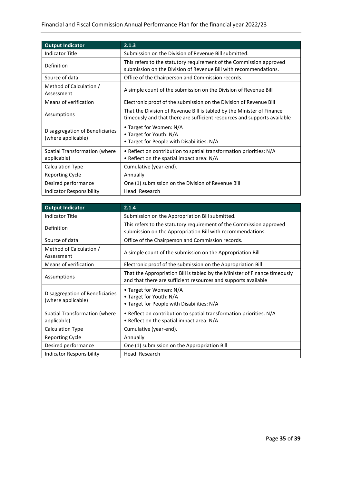| <b>Output Indicator</b>                               | 2.1.3                                                                                                                                              |
|-------------------------------------------------------|----------------------------------------------------------------------------------------------------------------------------------------------------|
| <b>Indicator Title</b>                                | Submission on the Division of Revenue Bill submitted.                                                                                              |
| Definition                                            | This refers to the statutory requirement of the Commission approved<br>submission on the Division of Revenue Bill with recommendations.            |
| Source of data                                        | Office of the Chairperson and Commission records.                                                                                                  |
| Method of Calculation /<br>Assessment                 | A simple count of the submission on the Division of Revenue Bill                                                                                   |
| Means of verification                                 | Electronic proof of the submission on the Division of Revenue Bill                                                                                 |
| Assumptions                                           | That the Division of Revenue Bill is tabled by the Minister of Finance<br>timeously and that there are sufficient resources and supports available |
| Disaggregation of Beneficiaries<br>(where applicable) | • Target for Women: N/A<br>• Target for Youth: N/A<br>• Target for People with Disabilities: N/A                                                   |
| Spatial Transformation (where<br>applicable)          | • Reflect on contribution to spatial transformation priorities: N/A<br>• Reflect on the spatial impact area: $N/A$                                 |
| <b>Calculation Type</b>                               | Cumulative (year-end).                                                                                                                             |
| <b>Reporting Cycle</b>                                | Annually                                                                                                                                           |
| Desired performance                                   | One (1) submission on the Division of Revenue Bill                                                                                                 |
| Indicator Responsibility                              | Head: Research                                                                                                                                     |

| <b>Output Indicator</b>                               | 2.1.4                                                                                                                                        |  |
|-------------------------------------------------------|----------------------------------------------------------------------------------------------------------------------------------------------|--|
| <b>Indicator Title</b>                                | Submission on the Appropriation Bill submitted.                                                                                              |  |
| Definition                                            | This refers to the statutory requirement of the Commission approved<br>submission on the Appropriation Bill with recommendations.            |  |
| Source of data                                        | Office of the Chairperson and Commission records.                                                                                            |  |
| Method of Calculation /<br>Assessment                 | A simple count of the submission on the Appropriation Bill                                                                                   |  |
| Means of verification                                 | Electronic proof of the submission on the Appropriation Bill                                                                                 |  |
| Assumptions                                           | That the Appropriation Bill is tabled by the Minister of Finance timeously<br>and that there are sufficient resources and supports available |  |
| Disaggregation of Beneficiaries<br>(where applicable) | • Target for Women: N/A<br>• Target for Youth: N/A<br>• Target for People with Disabilities: N/A                                             |  |
| Spatial Transformation (where<br>applicable)          | • Reflect on contribution to spatial transformation priorities: N/A<br>• Reflect on the spatial impact area: N/A                             |  |
| <b>Calculation Type</b>                               | Cumulative (year-end).                                                                                                                       |  |
| <b>Reporting Cycle</b><br>Annually                    |                                                                                                                                              |  |
| Desired performance                                   | One (1) submission on the Appropriation Bill                                                                                                 |  |
| <b>Indicator Responsibility</b>                       | Head: Research                                                                                                                               |  |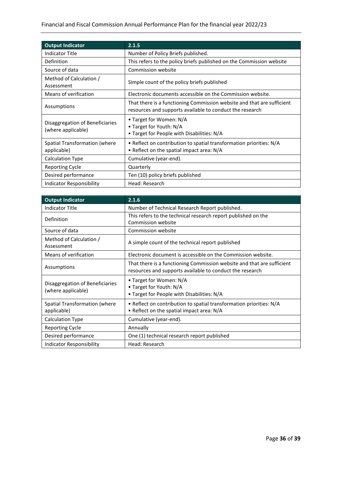| <b>Output Indicator</b>                               | 2.1.5                                                                                                                              |  |
|-------------------------------------------------------|------------------------------------------------------------------------------------------------------------------------------------|--|
| <b>Indicator Title</b>                                | Number of Policy Briefs published.                                                                                                 |  |
| Definition                                            | This refers to the policy briefs published on the Commission website                                                               |  |
| Source of data                                        | Commission website                                                                                                                 |  |
| Method of Calculation /<br>Assessment                 | Simple count of the policy briefs published                                                                                        |  |
| Means of verification                                 | Electronic documents accessible on the Commission website.                                                                         |  |
| Assumptions                                           | That there is a functioning Commission website and that are sufficient<br>resources and supports available to conduct the research |  |
| Disaggregation of Beneficiaries<br>(where applicable) | • Target for Women: N/A<br>• Target for Youth: N/A<br>• Target for People with Disabilities: N/A                                   |  |
| Spatial Transformation (where<br>applicable)          | • Reflect on contribution to spatial transformation priorities: N/A<br>• Reflect on the spatial impact area: N/A                   |  |
| <b>Calculation Type</b>                               | Cumulative (year-end).                                                                                                             |  |
| <b>Reporting Cycle</b>                                | Quarterly                                                                                                                          |  |
| Desired performance                                   | Ten (10) policy briefs published                                                                                                   |  |
| Indicator Responsibility                              | Head: Research                                                                                                                     |  |

| <b>Output Indicator</b>                                                                   | 2.1.6                                                                                                                              |  |
|-------------------------------------------------------------------------------------------|------------------------------------------------------------------------------------------------------------------------------------|--|
| <b>Indicator Title</b>                                                                    | Number of Technical Research Report published.                                                                                     |  |
| Definition                                                                                | This refers to the technical research report published on the<br>Commission website                                                |  |
| Source of data                                                                            | Commission website                                                                                                                 |  |
| Method of Calculation /<br>A simple count of the technical report published<br>Assessment |                                                                                                                                    |  |
| Means of verification                                                                     | Electronic document is accessible on the Commission website.                                                                       |  |
| Assumptions                                                                               | That there is a functioning Commission website and that are sufficient<br>resources and supports available to conduct the research |  |
| Disaggregation of Beneficiaries<br>(where applicable)                                     | • Target for Women: N/A<br>• Target for Youth: N/A<br>• Target for People with Disabilities: N/A                                   |  |
| Spatial Transformation (where<br>applicable)                                              | • Reflect on contribution to spatial transformation priorities: N/A<br>• Reflect on the spatial impact area: $N/A$                 |  |
| <b>Calculation Type</b>                                                                   | Cumulative (year-end).                                                                                                             |  |
| Reporting Cycle                                                                           | Annually                                                                                                                           |  |
| Desired performance                                                                       | One (1) technical research report published                                                                                        |  |
| Indicator Responsibility                                                                  | Head: Research                                                                                                                     |  |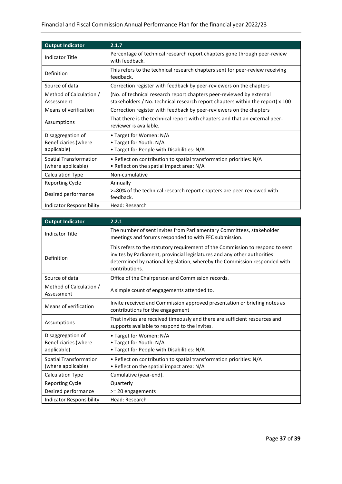| <b>Output Indicator</b>                                  | 2.1.7                                                                                                                                                  |
|----------------------------------------------------------|--------------------------------------------------------------------------------------------------------------------------------------------------------|
| <b>Indicator Title</b>                                   | Percentage of technical research report chapters gone through peer-review<br>with feedback.                                                            |
| Definition                                               | This refers to the technical research chapters sent for peer-review receiving<br>feedback.                                                             |
| Source of data                                           | Correction register with feedback by peer-reviewers on the chapters                                                                                    |
| Method of Calculation /<br>Assessment                    | (No. of technical research report chapters peer-reviewed by external<br>stakeholders / No. technical research report chapters within the report) x 100 |
| Means of verification                                    | Correction register with feedback by peer-reviewers on the chapters                                                                                    |
| Assumptions                                              | That there is the technical report with chapters and that an external peer-<br>reviewer is available.                                                  |
| Disaggregation of<br>Beneficiaries (where<br>applicable) | • Target for Women: N/A<br>• Target for Youth: N/A<br>• Target for People with Disabilities: N/A                                                       |
| <b>Spatial Transformation</b><br>(where applicable)      | • Reflect on contribution to spatial transformation priorities: N/A<br>• Reflect on the spatial impact area: N/A                                       |
| <b>Calculation Type</b>                                  | Non-cumulative                                                                                                                                         |
| <b>Reporting Cycle</b>                                   | Annually                                                                                                                                               |
| Desired performance                                      | >=80% of the technical research report chapters are peer-reviewed with<br>feedback.                                                                    |
| Indicator Responsibility                                 | Head: Research                                                                                                                                         |

| <b>Output Indicator</b> |                                                          | 2.2.1                                                                                                                                                                                                                                                    |  |  |
|-------------------------|----------------------------------------------------------|----------------------------------------------------------------------------------------------------------------------------------------------------------------------------------------------------------------------------------------------------------|--|--|
|                         | <b>Indicator Title</b>                                   | The number of sent invites from Parliamentary Committees, stakeholder<br>meetings and forums responded to with FFC submission.                                                                                                                           |  |  |
|                         | Definition                                               | This refers to the statutory requirement of the Commission to respond to sent<br>invites by Parliament, provincial legislatures and any other authorities<br>determined by national legislation, whereby the Commission responded with<br>contributions. |  |  |
|                         | Source of data                                           | Office of the Chairperson and Commission records.                                                                                                                                                                                                        |  |  |
|                         | Method of Calculation /<br>Assessment                    | A simple count of engagements attended to.                                                                                                                                                                                                               |  |  |
|                         | Means of verification                                    | Invite received and Commission approved presentation or briefing notes as<br>contributions for the engagement                                                                                                                                            |  |  |
|                         | Assumptions                                              | That invites are received timeously and there are sufficient resources and<br>supports available to respond to the invites.                                                                                                                              |  |  |
|                         | Disaggregation of<br>Beneficiaries (where<br>applicable) | • Target for Women: N/A<br>• Target for Youth: N/A<br>• Target for People with Disabilities: N/A                                                                                                                                                         |  |  |
|                         | <b>Spatial Transformation</b><br>(where applicable)      | • Reflect on contribution to spatial transformation priorities: N/A<br>• Reflect on the spatial impact area: N/A                                                                                                                                         |  |  |
|                         | <b>Calculation Type</b>                                  | Cumulative (year-end).                                                                                                                                                                                                                                   |  |  |
|                         | <b>Reporting Cycle</b>                                   | Quarterly                                                                                                                                                                                                                                                |  |  |
|                         | Desired performance                                      | >= 20 engagements                                                                                                                                                                                                                                        |  |  |
|                         | Indicator Responsibility                                 | Head: Research                                                                                                                                                                                                                                           |  |  |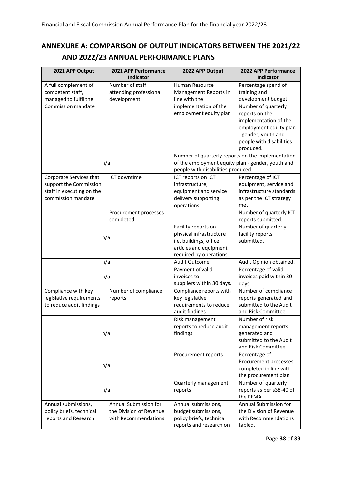## **ANNEXURE A: COMPARISON OF OUTPUT INDICATORS BETWEEN THE 2021/22 AND 2022/23 ANNUAL PERFORMANCE PLANS**

| 2021 APP Output                                                                                      | 2021 APP Performance<br><b>Indicator</b>                                 | 2022 APP Output                                                                                                                              | <b>2022 APP Performance</b><br><b>Indicator</b>                                                                                                          |
|------------------------------------------------------------------------------------------------------|--------------------------------------------------------------------------|----------------------------------------------------------------------------------------------------------------------------------------------|----------------------------------------------------------------------------------------------------------------------------------------------------------|
| A full complement of<br>competent staff,<br>managed to fulfil the                                    | Number of staff<br>attending professional<br>development                 | Human Resource<br>Management Reports in<br>line with the                                                                                     | Percentage spend of<br>training and<br>development budget                                                                                                |
| Commission mandate                                                                                   |                                                                          | implementation of the<br>employment equity plan                                                                                              | Number of quarterly<br>reports on the<br>implementation of the<br>employment equity plan<br>- gender, youth and<br>people with disabilities<br>produced. |
| n/a                                                                                                  |                                                                          | Number of quarterly reports on the implementation<br>of the employment equity plan - gender, youth and<br>people with disabilities produced. |                                                                                                                                                          |
| Corporate Services that<br>support the Commission<br>staff in executing on the<br>commission mandate | ICT downtime                                                             | ICT reports on ICT<br>infrastructure,<br>equipment and service<br>delivery supporting<br>operations                                          | Percentage of ICT<br>equipment, service and<br>infrastructure standards<br>as per the ICT strategy<br>met                                                |
|                                                                                                      | Procurement processes<br>completed                                       |                                                                                                                                              | Number of quarterly ICT<br>reports submitted.                                                                                                            |
| n/a                                                                                                  |                                                                          | Facility reports on<br>physical infrastructure<br>i.e. buildings, office<br>articles and equipment<br>required by operations.                | Number of quarterly<br>facility reports<br>submitted.                                                                                                    |
|                                                                                                      | n/a                                                                      | Audit Outcome                                                                                                                                | Audit Opinion obtained.                                                                                                                                  |
| n/a                                                                                                  |                                                                          | Payment of valid<br>invoices to<br>suppliers within 30 days.                                                                                 | Percentage of valid<br>invoices paid within 30<br>days.                                                                                                  |
| Compliance with key<br>legislative requirements<br>to reduce audit findings                          | Number of compliance<br>reports                                          | Compliance reports with<br>key legislative<br>requirements to reduce<br>audit findings                                                       | Number of compliance<br>reports generated and<br>submitted to the Audit<br>and Risk Committee                                                            |
| n/a                                                                                                  |                                                                          | Risk management<br>reports to reduce audit<br>findings                                                                                       | Number of risk<br>management reports<br>generated and<br>submitted to the Audit<br>and Risk Committee                                                    |
| n/a                                                                                                  |                                                                          | Procurement reports                                                                                                                          | Percentage of<br>Procurement processes<br>completed in line with<br>the procurement plan                                                                 |
| n/a                                                                                                  |                                                                          | Quarterly management<br>reports                                                                                                              | Number of quarterly<br>reports as per s38-40 of<br>the PFMA                                                                                              |
| Annual submissions,<br>policy briefs, technical<br>reports and Research                              | Annual Submission for<br>the Division of Revenue<br>with Recommendations | Annual submissions,<br>budget submissions,<br>policy briefs, technical<br>reports and research on                                            | Annual Submission for<br>the Division of Revenue<br>with Recommendations<br>tabled.                                                                      |